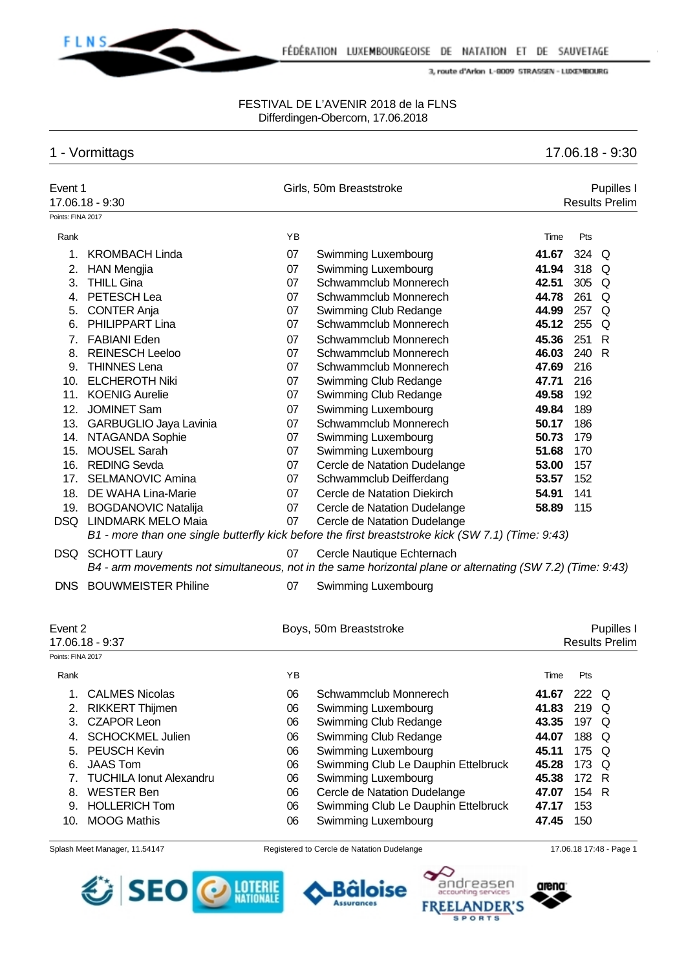

### FESTIVAL DE L'AVENIR 2018 de la FLNS Differdingen-Obercorn, 17.06.2018

# 1 - Vormittags 17.06.18 - 9:30

| Event 1<br>Points: FINA 2017 | 17.06.18 - 9:30                |    | Girls, 50m Breaststroke                                                                                    |       |       | Pupilles I<br><b>Results Prelim</b> |
|------------------------------|--------------------------------|----|------------------------------------------------------------------------------------------------------------|-------|-------|-------------------------------------|
| Rank                         |                                | YB |                                                                                                            | Time  | Pts   |                                     |
|                              |                                |    |                                                                                                            |       |       |                                     |
| 1.                           | <b>KROMBACH Linda</b>          | 07 | Swimming Luxembourg                                                                                        | 41.67 | 324   | Q                                   |
| 2.                           | <b>HAN Mengjia</b>             | 07 | Swimming Luxembourg                                                                                        | 41.94 | 318   | Q                                   |
| 3.                           | <b>THILL Gina</b>              | 07 | Schwammclub Monnerech                                                                                      | 42.51 | 305   | Q                                   |
| 4.                           | PETESCH Lea                    | 07 | Schwammclub Monnerech                                                                                      | 44.78 | 261   | Q                                   |
| 5.                           | <b>CONTER Anja</b>             | 07 | Swimming Club Redange                                                                                      | 44.99 | 257   | Q                                   |
| 6.                           | <b>PHILIPPART Lina</b>         | 07 | Schwammclub Monnerech                                                                                      | 45.12 | 255   | Q                                   |
| 7.                           | <b>FABIANI Eden</b>            | 07 | Schwammclub Monnerech                                                                                      | 45.36 | 251   | R                                   |
| 8.                           | <b>REINESCH Leeloo</b>         | 07 | Schwammclub Monnerech                                                                                      | 46.03 | 240   | R                                   |
| 9.                           | <b>THINNES Lena</b>            | 07 | Schwammclub Monnerech                                                                                      | 47.69 | 216   |                                     |
| 10.                          | <b>ELCHEROTH Niki</b>          | 07 | Swimming Club Redange                                                                                      | 47.71 | 216   |                                     |
| 11.                          | <b>KOENIG Aurelie</b>          | 07 | Swimming Club Redange                                                                                      | 49.58 | 192   |                                     |
| 12.                          | <b>JOMINET Sam</b>             | 07 | Swimming Luxembourg                                                                                        | 49.84 | 189   |                                     |
|                              | 13. GARBUGLIO Jaya Lavinia     | 07 | Schwammclub Monnerech                                                                                      | 50.17 | 186   |                                     |
|                              | 14. NTAGANDA Sophie            | 07 | Swimming Luxembourg                                                                                        | 50.73 | 179   |                                     |
|                              | 15. MOUSEL Sarah               | 07 | Swimming Luxembourg                                                                                        | 51.68 | 170   |                                     |
|                              | 16. REDING Sevda               | 07 | Cercle de Natation Dudelange                                                                               | 53.00 | 157   |                                     |
|                              | 17. SELMANOVIC Amina           | 07 | Schwammclub Deifferdang                                                                                    | 53.57 | 152   |                                     |
|                              | 18. DE WAHA Lina-Marie         | 07 | Cercle de Natation Diekirch                                                                                | 54.91 | 141   |                                     |
|                              | 19. BOGDANOVIC Natalija        | 07 | Cercle de Natation Dudelange                                                                               | 58.89 | 115   |                                     |
|                              | DSQ LINDMARK MELO Maia         | 07 | Cercle de Natation Dudelange                                                                               |       |       |                                     |
|                              |                                |    | B1 - more than one single butterfly kick before the first breaststroke kick (SW 7.1) (Time: 9:43)          |       |       |                                     |
|                              | DSQ SCHOTT Laury               | 07 | Cercle Nautique Echternach                                                                                 |       |       |                                     |
|                              |                                |    | B4 - arm movements not simultaneous, not in the same horizontal plane or alternating (SW 7.2) (Time: 9:43) |       |       |                                     |
| DNS.                         | <b>BOUWMEISTER Philine</b>     | 07 | Swimming Luxembourg                                                                                        |       |       |                                     |
| Event 2                      | 17.06.18 - 9:37                |    | Boys, 50m Breaststroke                                                                                     |       |       | Pupilles I<br><b>Results Prelim</b> |
| Points: FINA 2017            |                                |    |                                                                                                            |       |       |                                     |
| Rank                         |                                | YB |                                                                                                            | Time  | Pts   |                                     |
|                              | 1. CALMES Nicolas              | 06 | Schwammclub Monnerech                                                                                      | 41.67 | 222 Q |                                     |
| 2.                           | <b>RIKKERT Thijmen</b>         | 06 | Swimming Luxembourg                                                                                        | 41.83 | 219 Q |                                     |
| 3.                           | <b>CZAPOR Leon</b>             | 06 | Swimming Club Redange                                                                                      | 43.35 | 197 Q |                                     |
| 4.                           | <b>SCHOCKMEL Julien</b>        | 06 | Swimming Club Redange                                                                                      | 44.07 | 188   | Q                                   |
| 5.                           | PEUSCH Kevin                   | 06 | Swimming Luxembourg                                                                                        | 45.11 | 175   | Q                                   |
| 6.                           | <b>JAAS Tom</b>                | 06 | Swimming Club Le Dauphin Ettelbruck                                                                        | 45.28 | 173   | Q                                   |
| 7.                           | <b>TUCHILA Ionut Alexandru</b> | 06 | Swimming Luxembourg                                                                                        | 45.38 | 172   | R                                   |
| 8.                           | <b>WESTER Ben</b>              | 06 | Cercle de Natation Dudelange                                                                               | 47.07 | 154 R |                                     |
|                              | 9. HOLLERICH Tom               | 06 | Swimming Club Le Dauphin Ettelbruck                                                                        | 47.17 | 153   |                                     |
| 10.                          | <b>MOOG Mathis</b>             | 06 | Swimming Luxembourg                                                                                        | 47.45 | 150   |                                     |
|                              |                                |    |                                                                                                            |       |       |                                     |







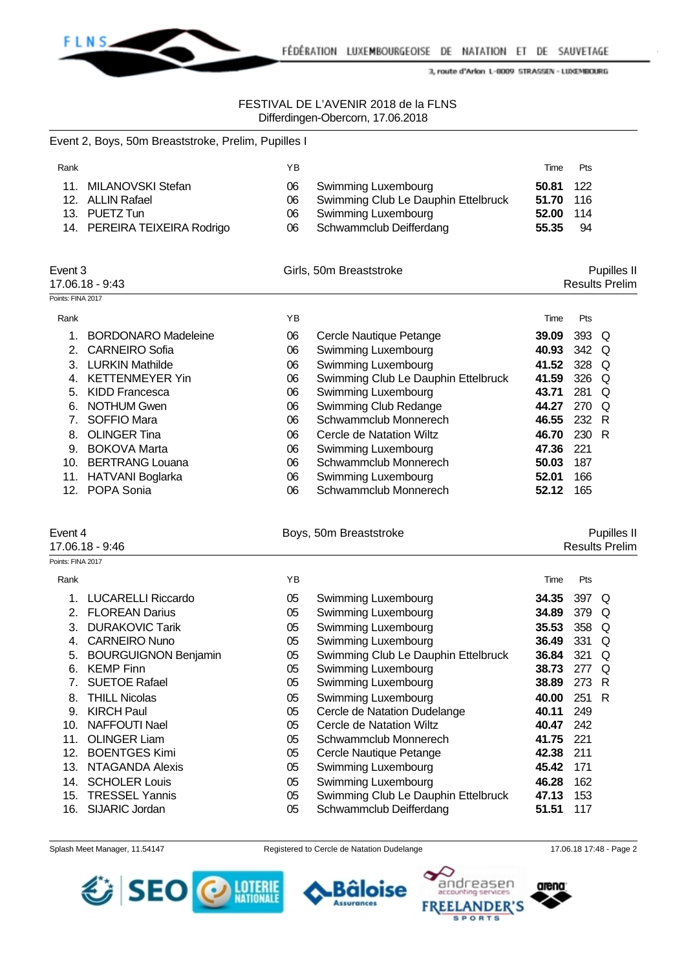

### FESTIVAL DE L'AVENIR 2018 de la FLNS Differdingen-Obercorn, 17.06.2018

|                   | Event 2, Boys, 50m Breaststroke, Prelim, Pupilles I |    |                                     |       |                       |
|-------------------|-----------------------------------------------------|----|-------------------------------------|-------|-----------------------|
| Rank              |                                                     | YB |                                     | Time  | Pts                   |
| 11 <sub>1</sub>   | MILANOVSKI Stefan                                   | 06 | Swimming Luxembourg                 | 50.81 | 122                   |
| 12.               | <b>ALLIN Rafael</b>                                 | 06 | Swimming Club Le Dauphin Ettelbruck | 51.70 | 116                   |
| 13.               | PUETZ Tun                                           | 06 | Swimming Luxembourg                 | 52.00 | 114                   |
| 14.               | PEREIRA TEIXEIRA Rodrigo                            | 06 | Schwammclub Deifferdang             | 55.35 | 94                    |
| Event 3           |                                                     |    | Girls, 50m Breaststroke             |       | Pupilles II           |
|                   | 17.06.18 - 9:43                                     |    |                                     |       | <b>Results Prelim</b> |
| Points: FINA 2017 |                                                     |    |                                     |       |                       |
| Rank              |                                                     | YB |                                     | Time  | Pts                   |
| 1.                | <b>BORDONARO Madeleine</b>                          | 06 | Cercle Nautique Petange             | 39.09 | 393<br>O              |
| 2.                | <b>CARNEIRO Sofia</b>                               | 06 | Swimming Luxembourg                 | 40.93 | 342<br>Q              |
| 3.                | <b>LURKIN Mathilde</b>                              | 06 | Swimming Luxembourg                 | 41.52 | 328<br>Q              |
| 4.                | <b>KETTENMEYER Yin</b>                              | 06 | Swimming Club Le Dauphin Ettelbruck | 41.59 | 326<br>Q              |
| 5.                | <b>KIDD Francesca</b>                               | 06 | Swimming Luxembourg                 | 43.71 | 281<br>$\Omega$       |
| 6.                | <b>NOTHUM Gwen</b>                                  | 06 | Swimming Club Redange               | 44.27 | 270<br>$\Omega$       |
| 7.                | SOFFIO Mara                                         | 06 | Schwammclub Monnerech               | 46.55 | 232<br>R              |
| 8.                | <b>OLINGER Tina</b>                                 | 06 | Cercle de Natation Wiltz            | 46.70 | 230<br>R              |
| 9.                | <b>BOKOVA Marta</b>                                 | 06 | Swimming Luxembourg                 | 47.36 | 221                   |
| 10.               | <b>BERTRANG Louana</b>                              | 06 | Schwammclub Monnerech               | 50.03 | 187                   |
| 11.               | HATVANI Boglarka                                    | 06 | Swimming Luxembourg                 | 52.01 | 166                   |
| 12.               | POPA Sonia                                          | 06 | Schwammclub Monnerech               | 52.12 | 165                   |
|                   |                                                     |    |                                     |       |                       |

#### Event 4 **Boys**, 50m Breaststroke **Reserves** Pupilles II

17.06.18 - 9:46 Results Prelim

| Points: FINA 2017 |                             |    |                                     |       |     |     |
|-------------------|-----------------------------|----|-------------------------------------|-------|-----|-----|
| Rank              |                             | ΥB |                                     | Time  | Pts |     |
|                   | <b>LUCARELLI Riccardo</b>   | 05 | Swimming Luxembourg                 | 34.35 | 397 | Q   |
| 2.                | <b>FLOREAN Darius</b>       | 05 | Swimming Luxembourg                 | 34.89 | 379 | Q   |
| 3.                | <b>DURAKOVIC Tarik</b>      | 05 | Swimming Luxembourg                 | 35.53 | 358 | Q   |
| 4.                | <b>CARNEIRO Nuno</b>        | 05 | Swimming Luxembourg                 | 36.49 | 331 | O   |
| 5.                | <b>BOURGUIGNON Benjamin</b> | 05 | Swimming Club Le Dauphin Ettelbruck | 36.84 | 321 | O   |
| 6.                | <b>KEMP Finn</b>            | 05 | Swimming Luxembourg                 | 38.73 | 277 | O   |
|                   | <b>SUETOE Rafael</b>        | 05 | Swimming Luxembourg                 | 38.89 | 273 | - R |
| 8.                | <b>THILL Nicolas</b>        | 05 | Swimming Luxembourg                 | 40.00 | 251 | - R |
| 9.                | <b>KIRCH Paul</b>           | 05 | Cercle de Natation Dudelange        | 40.11 | 249 |     |
| 10.               | NAFFOUTI Nael               | 05 | Cercle de Natation Wiltz            | 40.47 | 242 |     |
| 11.               | <b>OLINGER Liam</b>         | 05 | Schwammclub Monnerech               | 41.75 | 221 |     |
| 12.               | <b>BOENTGES Kimi</b>        | 05 | Cercle Nautique Petange             | 42.38 | 211 |     |
| 13.               | NTAGANDA Alexis             | 05 | Swimming Luxembourg                 | 45.42 | 171 |     |
| 14.               | <b>SCHOLER Louis</b>        | 05 | Swimming Luxembourg                 | 46.28 | 162 |     |
| 15.               | <b>TRESSEL Yannis</b>       | 05 | Swimming Club Le Dauphin Ettelbruck | 47.13 | 153 |     |
| 16.               | <b>SIJARIC Jordan</b>       | 05 | Schwammclub Deifferdang             | 51.51 | 117 |     |







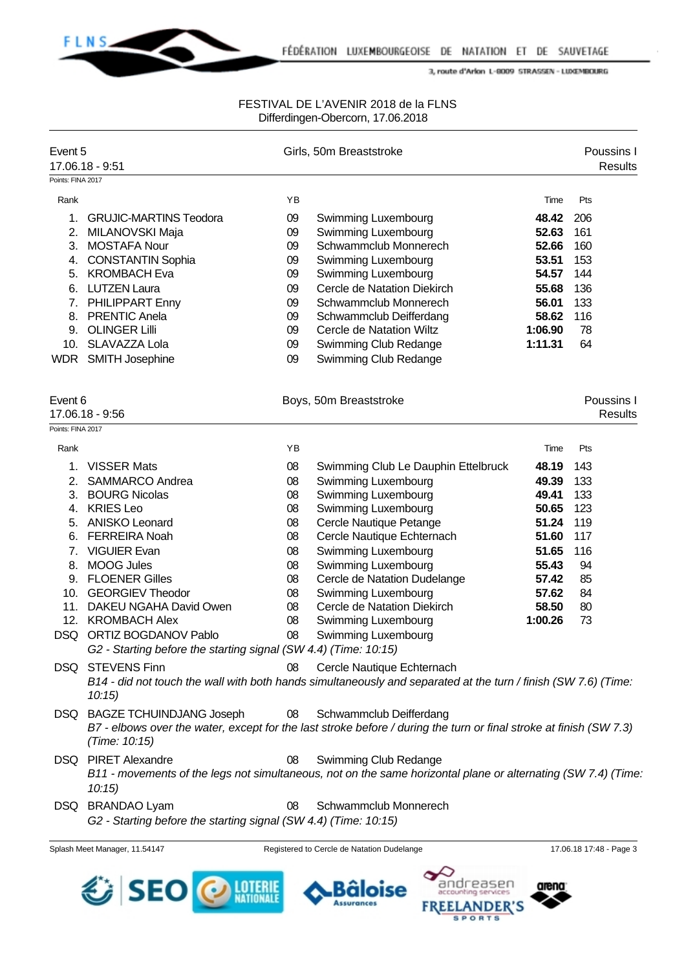

# FESTIVAL DE L'AVENIR 2018 de la FLNS Differdingen-Obercorn, 17.06.2018

| Event 5           | 17.06.18 - 9:51                                                                             |    | Girls, 50m Breaststroke                                                                                            |         |     | Poussins I<br><b>Results</b> |
|-------------------|---------------------------------------------------------------------------------------------|----|--------------------------------------------------------------------------------------------------------------------|---------|-----|------------------------------|
| Points: FINA 2017 |                                                                                             |    |                                                                                                                    |         |     |                              |
| Rank              |                                                                                             | YB |                                                                                                                    | Time    | Pts |                              |
| 1.                | <b>GRUJIC-MARTINS Teodora</b>                                                               | 09 | Swimming Luxembourg                                                                                                | 48.42   | 206 |                              |
| 2.                | MILANOVSKI Maja                                                                             | 09 | Swimming Luxembourg                                                                                                | 52.63   | 161 |                              |
| 3.                | <b>MOSTAFA Nour</b>                                                                         | 09 | Schwammclub Monnerech                                                                                              | 52.66   | 160 |                              |
| 4.                | <b>CONSTANTIN Sophia</b>                                                                    | 09 | Swimming Luxembourg                                                                                                | 53.51   | 153 |                              |
| 5.                | <b>KROMBACH Eva</b>                                                                         | 09 | Swimming Luxembourg                                                                                                | 54.57   | 144 |                              |
| 6.                | <b>LUTZEN Laura</b>                                                                         | 09 | Cercle de Natation Diekirch                                                                                        | 55.68   | 136 |                              |
|                   | 7. PHILIPPART Enny                                                                          | 09 | Schwammclub Monnerech                                                                                              | 56.01   | 133 |                              |
|                   | 8. PRENTIC Anela                                                                            | 09 | Schwammclub Deifferdang                                                                                            | 58.62   | 116 |                              |
| 9.                | <b>OLINGER Lilli</b>                                                                        | 09 | Cercle de Natation Wiltz                                                                                           | 1:06.90 | 78  |                              |
| 10.               | SLAVAZZA Lola                                                                               | 09 | Swimming Club Redange                                                                                              | 1:11.31 | 64  |                              |
|                   | WDR SMITH Josephine                                                                         | 09 | Swimming Club Redange                                                                                              |         |     |                              |
| Event 6           |                                                                                             |    |                                                                                                                    |         |     | Poussins I                   |
|                   | 17.06.18 - 9:56                                                                             |    | Boys, 50m Breaststroke                                                                                             |         |     | <b>Results</b>               |
| Points: FINA 2017 |                                                                                             |    |                                                                                                                    |         |     |                              |
|                   |                                                                                             |    |                                                                                                                    |         |     |                              |
| Rank              |                                                                                             | YB |                                                                                                                    | Time    | Pts |                              |
| 1.                | <b>VISSER Mats</b>                                                                          | 08 | Swimming Club Le Dauphin Ettelbruck                                                                                | 48.19   | 143 |                              |
| 2.                | <b>SAMMARCO Andrea</b>                                                                      | 08 | Swimming Luxembourg                                                                                                | 49.39   | 133 |                              |
| 3.                | <b>BOURG Nicolas</b>                                                                        | 08 | Swimming Luxembourg                                                                                                | 49.41   | 133 |                              |
| 4.                | <b>KRIES Leo</b>                                                                            | 08 | Swimming Luxembourg                                                                                                | 50.65   | 123 |                              |
| 5.                | <b>ANISKO Leonard</b>                                                                       | 08 | Cercle Nautique Petange                                                                                            | 51.24   | 119 |                              |
| 6.                | <b>FERREIRA Noah</b>                                                                        | 08 | Cercle Nautique Echternach                                                                                         | 51.60   | 117 |                              |
| 7.                | <b>VIGUIER Evan</b>                                                                         | 08 | Swimming Luxembourg                                                                                                | 51.65   | 116 |                              |
| 8.                | <b>MOOG Jules</b>                                                                           | 08 | Swimming Luxembourg                                                                                                | 55.43   | 94  |                              |
|                   | 9. FLOENER Gilles                                                                           | 08 | Cercle de Natation Dudelange                                                                                       | 57.42   | 85  |                              |
|                   | 10. GEORGIEV Theodor                                                                        | 08 | Swimming Luxembourg                                                                                                | 57.62   | 84  |                              |
|                   | 11. DAKEU NGAHA David Owen                                                                  | 08 | Cercle de Natation Diekirch                                                                                        | 58.50   | 80  |                              |
|                   | 12. KROMBACH Alex                                                                           | 08 | Swimming Luxembourg                                                                                                | 1:00.26 | 73  |                              |
|                   | DSQ ORTIZ BOGDANOV Pablo<br>G2 - Starting before the starting signal (SW 4.4) (Time: 10:15) | 08 | Swimming Luxembourg                                                                                                |         |     |                              |
|                   | DSQ STEVENS Finn                                                                            | 08 | Cercle Nautique Echternach                                                                                         |         |     |                              |
|                   | 10:15                                                                                       |    | B14 - did not touch the wall with both hands simultaneously and separated at the turn / finish (SW 7.6) (Time:     |         |     |                              |
|                   | DSQ BAGZE TCHUINDJANG Joseph                                                                | 08 | Schwammclub Deifferdang                                                                                            |         |     |                              |
|                   | (Time: 10:15)                                                                               |    | B7 - elbows over the water, except for the last stroke before / during the turn or final stroke at finish (SW 7.3) |         |     |                              |
|                   | DSQ PIRET Alexandre                                                                         | 08 | Swimming Club Redange                                                                                              |         |     |                              |
|                   | 10:15                                                                                       |    | B11 - movements of the legs not simultaneous, not on the same horizontal plane or alternating (SW 7.4) (Time.      |         |     |                              |
|                   | DSQ BRANDAO Lyam                                                                            | 08 | Schwammclub Monnerech                                                                                              |         |     |                              |
|                   | G2 - Starting before the starting signal (SW 4.4) (Time: 10:15)                             |    |                                                                                                                    |         |     |                              |

Splash Meet Manager, 11.54147 Registered to Cercle de Natation Dudelange 17.06.18 17:48 - Page 3



arena





ndreasen

**SPORTS** 

**INDER'S**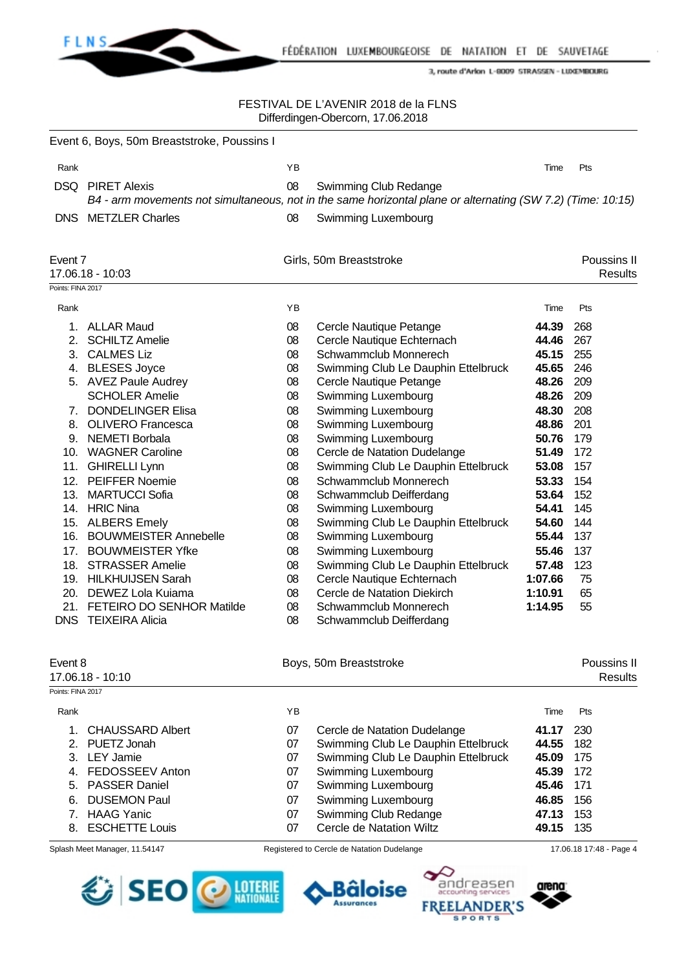

### FESTIVAL DE L'AVENIR 2018 de la FLNS Differdingen-Obercorn, 17.06.2018

|                   | Event 6, Boys, 50m Breaststroke, Poussins I             |          |                                                                                                             |         |     |                               |
|-------------------|---------------------------------------------------------|----------|-------------------------------------------------------------------------------------------------------------|---------|-----|-------------------------------|
| Rank              |                                                         | ΥB       |                                                                                                             | Time    | Pts |                               |
|                   | <b>DSQ</b> PIRET Alexis                                 | 08       | Swimming Club Redange                                                                                       |         |     |                               |
|                   |                                                         |          | B4 - arm movements not simultaneous, not in the same horizontal plane or alternating (SW 7.2) (Time: 10:15) |         |     |                               |
|                   | <b>DNS</b> METZLER Charles                              | 08       | Swimming Luxembourg                                                                                         |         |     |                               |
| Event 7           | 17.06.18 - 10:03                                        |          | Girls, 50m Breaststroke                                                                                     |         |     | Poussins II<br><b>Results</b> |
| Points: FINA 2017 |                                                         |          |                                                                                                             |         |     |                               |
| Rank              |                                                         | ΥB       |                                                                                                             | Time    | Pts |                               |
|                   | 1. ALLAR Maud                                           | 08       | Cercle Nautique Petange                                                                                     | 44.39   | 268 |                               |
| 2.                | <b>SCHILTZ Amelie</b>                                   | 08       | Cercle Nautique Echternach                                                                                  | 44.46   | 267 |                               |
| 3.                | <b>CALMES Liz</b>                                       | 08       | Schwammclub Monnerech                                                                                       | 45.15   | 255 |                               |
|                   | 4. BLESES Joyce                                         | 08       | Swimming Club Le Dauphin Ettelbruck                                                                         | 45.65   | 246 |                               |
|                   | 5. AVEZ Paule Audrey                                    | 08       | Cercle Nautique Petange                                                                                     | 48.26   | 209 |                               |
|                   | <b>SCHOLER Amelie</b>                                   | 08       | Swimming Luxembourg                                                                                         | 48.26   | 209 |                               |
| 7.                | <b>DONDELINGER Elisa</b>                                | 08       | Swimming Luxembourg                                                                                         | 48.30   | 208 |                               |
| 8.                | <b>OLIVERO Francesca</b>                                | 08       | Swimming Luxembourg                                                                                         | 48.86   | 201 |                               |
| 9.                | <b>NEMETI Borbala</b>                                   | 08       | Swimming Luxembourg                                                                                         | 50.76   | 179 |                               |
| 10.               | <b>WAGNER Caroline</b>                                  | 08       | Cercle de Natation Dudelange                                                                                | 51.49   | 172 |                               |
| 11.               | <b>GHIRELLI Lynn</b>                                    | 08       | Swimming Club Le Dauphin Ettelbruck                                                                         | 53.08   | 157 |                               |
| 12.               | PEIFFER Noemie                                          | 08       | Schwammclub Monnerech                                                                                       | 53.33   | 154 |                               |
| 13.               | <b>MARTUCCI Sofia</b>                                   | 08       | Schwammclub Deifferdang                                                                                     | 53.64   | 152 |                               |
|                   | 14. HRIC Nina                                           | 08       | Swimming Luxembourg                                                                                         | 54.41   | 145 |                               |
| 15.               | <b>ALBERS Emely</b>                                     | 08       | Swimming Club Le Dauphin Ettelbruck                                                                         | 54.60   | 144 |                               |
| 16.               | <b>BOUWMEISTER Annebelle</b>                            | 08       | Swimming Luxembourg                                                                                         | 55.44   | 137 |                               |
|                   | 17. BOUWMEISTER Yfke                                    | 08       | Swimming Luxembourg                                                                                         | 55.46   | 137 |                               |
|                   | 18. STRASSER Amelie                                     | 08       | Swimming Club Le Dauphin Ettelbruck                                                                         | 57.48   | 123 |                               |
|                   | 19. HILKHUIJSEN Sarah                                   | 08       | Cercle Nautique Echternach                                                                                  | 1:07.66 | 75  |                               |
|                   | 20. DEWEZ Lola Kuiama                                   | 08       | Cercle de Natation Diekirch                                                                                 | 1:10.91 | 65  |                               |
| <b>DNS</b>        | 21. FETEIRO DO SENHOR Matilde<br><b>TEIXEIRA Alicia</b> | 08<br>08 | Schwammclub Monnerech<br>Schwammclub Deifferdang                                                            | 1:14.95 | 55  |                               |
| Event 8           |                                                         |          |                                                                                                             |         |     | Poussins II                   |
|                   | 17.06.18 - 10:10                                        |          | Boys, 50m Breaststroke                                                                                      |         |     | <b>Results</b>                |
| Points: FINA 2017 |                                                         |          |                                                                                                             |         |     |                               |
| Rank              |                                                         | ΥB       |                                                                                                             | Time    | Pts |                               |
| 1.                | <b>CHAUSSARD Albert</b>                                 | 07       | Cercle de Natation Dudelange                                                                                | 41.17   | 230 |                               |
| 2.                | PUETZ Jonah                                             | 07       | Swimming Club Le Dauphin Ettelbruck                                                                         | 44.55   | 182 |                               |
|                   | 3. LEY Jamie                                            | 07       | Swimming Club Le Dauphin Ettelbruck                                                                         | 45.09   | 175 |                               |
| 4.                | FEDOSSEEV Anton                                         | 07       | Swimming Luxembourg                                                                                         | 45.39   | 172 |                               |
| 5.                | <b>PASSER Daniel</b>                                    | 07       | Swimming Luxembourg                                                                                         | 45.46   | 171 |                               |
| 6.                | <b>DUSEMON Paul</b>                                     | 07       | Swimming Luxembourg                                                                                         | 46.85   | 156 |                               |
|                   | 7. HAAG Yanic                                           | 07       | Swimming Club Redange                                                                                       | 47.13   | 153 |                               |
|                   | 8. ESCHETTE Louis                                       | 07       | Cercle de Natation Wiltz                                                                                    | 49.15   | 135 |                               |
|                   |                                                         |          |                                                                                                             |         |     |                               |

Splash Meet Manager, 11.54147 Registered to Cercle de Natation Dudelange 17.06.18 17:48 - Page 4





**FREEI** 

**SPORTS** 

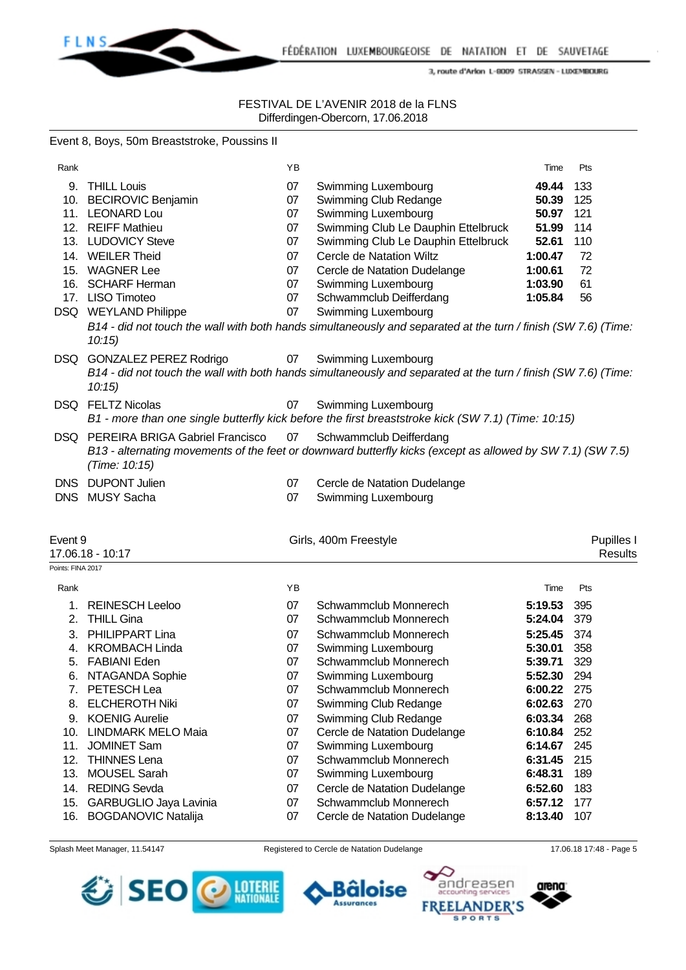

### FESTIVAL DE L'AVENIR 2018 de la FLNS Differdingen-Obercorn, 17.06.2018

# Event 8, Boys, 50m Breaststroke, Poussins II

| Rank              |                                                          | YB       |                                                                                                                | Time               | Pts        |
|-------------------|----------------------------------------------------------|----------|----------------------------------------------------------------------------------------------------------------|--------------------|------------|
|                   | 9. THILL Louis                                           | 07       | Swimming Luxembourg                                                                                            | 49.44              | 133        |
|                   | 10. BECIROVIC Benjamin                                   | 07       | Swimming Club Redange                                                                                          | 50.39              | 125        |
|                   | 11. LEONARD Lou                                          | 07       | Swimming Luxembourg                                                                                            | 50.97              | 121        |
|                   | 12. REIFF Mathieu                                        | 07       | Swimming Club Le Dauphin Ettelbruck                                                                            | 51.99              | 114        |
|                   | 13. LUDOVICY Steve                                       | 07       | Swimming Club Le Dauphin Ettelbruck                                                                            | 52.61              | 110        |
|                   | 14. WEILER Theid                                         | 07       | Cercle de Natation Wiltz                                                                                       | 1:00.47            | 72         |
|                   | 15. WAGNER Lee                                           | 07       | Cercle de Natation Dudelange                                                                                   | 1:00.61            | 72         |
|                   | 16. SCHARF Herman                                        | 07       | Swimming Luxembourg                                                                                            | 1:03.90            | 61         |
|                   | 17. LISO Timoteo                                         | 07       | Schwammclub Deifferdang                                                                                        | 1:05.84            | 56         |
|                   | DSQ WEYLAND Philippe                                     | 07       | Swimming Luxembourg                                                                                            |                    |            |
|                   |                                                          |          | B14 - did not touch the wall with both hands simultaneously and separated at the turn / finish (SW 7.6) (Time: |                    |            |
|                   | 10:15                                                    |          |                                                                                                                |                    |            |
|                   |                                                          | 07       |                                                                                                                |                    |            |
|                   | DSQ GONZALEZ PEREZ Rodrigo                               |          | <b>Swimming Luxembourg</b>                                                                                     |                    |            |
|                   | 10:15                                                    |          | B14 - did not touch the wall with both hands simultaneously and separated at the turn / finish (SW 7.6) (Time: |                    |            |
|                   | DSQ FELTZ Nicolas                                        | 07       | Swimming Luxembourg                                                                                            |                    |            |
|                   |                                                          |          | B1 - more than one single butterfly kick before the first breaststroke kick (SW 7.1) (Time: 10:15)             |                    |            |
|                   | DSQ PEREIRA BRIGA Gabriel Francisco                      | 07       | Schwammclub Deifferdang                                                                                        |                    |            |
|                   |                                                          |          | B13 - alternating movements of the feet or downward butterfly kicks (except as allowed by SW 7.1) (SW 7.5)     |                    |            |
|                   | (Time: 10:15)                                            |          |                                                                                                                |                    |            |
|                   | DNS DUPONT Julien                                        | 07       | Cercle de Natation Dudelange                                                                                   |                    |            |
|                   | DNS MUSY Sacha                                           | 07       | Swimming Luxembourg                                                                                            |                    |            |
|                   |                                                          |          |                                                                                                                |                    |            |
|                   |                                                          |          |                                                                                                                |                    |            |
|                   |                                                          |          |                                                                                                                |                    |            |
|                   |                                                          |          |                                                                                                                |                    |            |
| Event 9           |                                                          |          | Girls, 400m Freestyle                                                                                          |                    | Pupilles I |
| Points: FINA 2017 | 17.06.18 - 10:17                                         |          |                                                                                                                |                    | Results    |
|                   |                                                          | YB       |                                                                                                                | Time               | Pts        |
| Rank              |                                                          |          |                                                                                                                |                    |            |
| 1.                | <b>REINESCH Leeloo</b>                                   | 07       | Schwammclub Monnerech                                                                                          | 5:19.53            | 395        |
| 2.                | <b>THILL Gina</b>                                        | 07       | Schwammclub Monnerech                                                                                          | 5:24.04            | 379        |
| 3.                | PHILIPPART Lina                                          | 07       | Schwammclub Monnerech                                                                                          | 5:25.45            | 374        |
| 4.                | <b>KROMBACH Linda</b>                                    | 07       | <b>Swimming Luxembourg</b>                                                                                     | 5:30.01            | 358        |
| 5.                | <b>FABIANI Eden</b>                                      | 07       | Schwammclub Monnerech                                                                                          | 5:39.71            | 329        |
| 6.                | NTAGANDA Sophie                                          | 07       | Swimming Luxembourg                                                                                            | 5:52.30            | 294        |
|                   | 7. PETESCH Lea                                           | 07       | Schwammclub Monnerech                                                                                          | 6:00.22 275        |            |
| 8.                | <b>ELCHEROTH Niki</b>                                    | 07       | Swimming Club Redange                                                                                          | 6:02.63            | 270        |
|                   | 9. KOENIG Aurelie                                        | 07       | Swimming Club Redange                                                                                          | 6:03.34            | 268        |
|                   | 10. LINDMARK MELO Maia                                   | 07       | Cercle de Natation Dudelange                                                                                   | 6:10.84            | 252        |
| 11.               | <b>JOMINET Sam</b>                                       | 07       | Swimming Luxembourg                                                                                            | 6:14.67            | 245        |
|                   | 12. THINNES Lena                                         | 07       | Schwammclub Monnerech                                                                                          | 6:31.45            | 215        |
|                   | 13. MOUSEL Sarah                                         | 07       | Swimming Luxembourg                                                                                            | 6:48.31            | 189        |
|                   | 14. REDING Sevda                                         | 07       | Cercle de Natation Dudelange                                                                                   | 6:52.60            | 183        |
| 16.               | 15. GARBUGLIO Jaya Lavinia<br><b>BOGDANOVIC Natalija</b> | 07<br>07 | Schwammclub Monnerech<br>Cercle de Natation Dudelange                                                          | 6:57.12<br>8:13.40 | 177<br>107 |







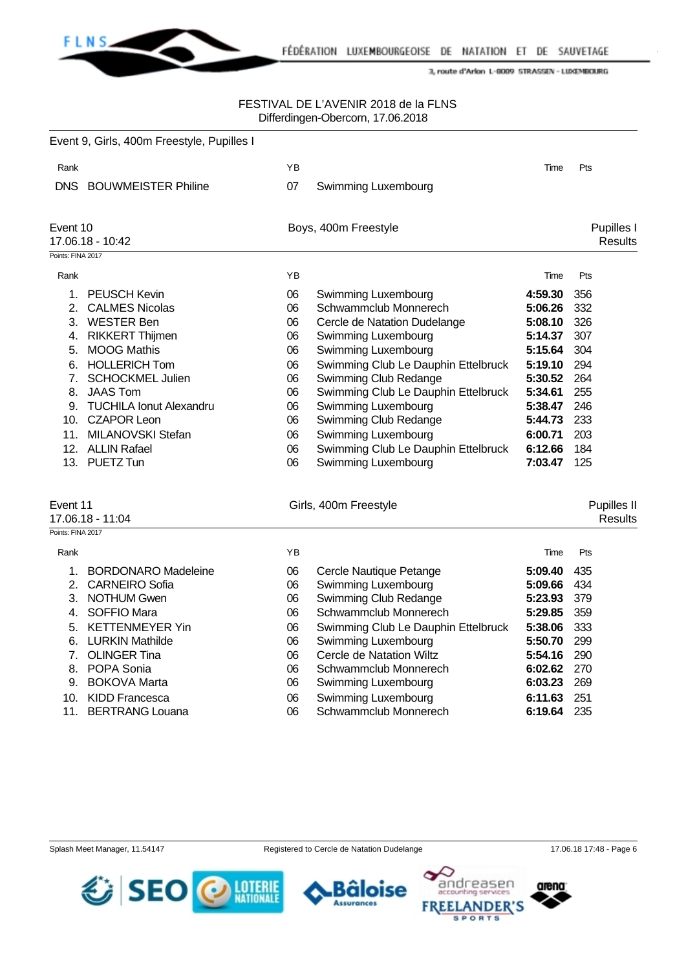

# FESTIVAL DE L'AVENIR 2018 de la FLNS Differdingen-Obercorn, 17.06.2018

|                   | Event 9, Girls, 400m Freestyle, Pupilles I |    |                                     |         |                |
|-------------------|--------------------------------------------|----|-------------------------------------|---------|----------------|
| Rank              |                                            | ΥB |                                     | Time    | Pts            |
| DNS.              | <b>BOUWMEISTER Philine</b>                 | 07 | Swimming Luxembourg                 |         |                |
| Event 10          |                                            |    | Boys, 400m Freestyle                |         | Pupilles I     |
|                   | 17.06.18 - 10:42                           |    |                                     |         | <b>Results</b> |
| Points: FINA 2017 |                                            |    |                                     |         |                |
| Rank              |                                            | YB |                                     | Time    | Pts            |
| 1.                | <b>PEUSCH Kevin</b>                        | 06 | Swimming Luxembourg                 | 4:59.30 | 356            |
| 2.                | <b>CALMES Nicolas</b>                      | 06 | Schwammclub Monnerech               | 5:06.26 | 332            |
|                   | 3. WESTER Ben                              | 06 | Cercle de Natation Dudelange        | 5:08.10 | 326            |
|                   | 4. RIKKERT Thijmen                         | 06 | Swimming Luxembourg                 | 5:14.37 | 307            |
| 5.                | <b>MOOG Mathis</b>                         | 06 | Swimming Luxembourg                 | 5:15.64 | 304            |
| 6.                | <b>HOLLERICH Tom</b>                       | 06 | Swimming Club Le Dauphin Ettelbruck | 5:19.10 | 294            |
| 7.                | <b>SCHOCKMEL Julien</b>                    | 06 | Swimming Club Redange               | 5:30.52 | 264            |
| 8.                | <b>JAAS Tom</b>                            | 06 | Swimming Club Le Dauphin Ettelbruck | 5:34.61 | 255            |
|                   | 9. TUCHILA Ionut Alexandru                 | 06 | Swimming Luxembourg                 | 5:38.47 | 246            |
|                   | 10. CZAPOR Leon                            | 06 | Swimming Club Redange               | 5:44.73 | 233            |
|                   | 11. MILANOVSKI Stefan                      | 06 | Swimming Luxembourg                 | 6:00.71 | 203            |
|                   | 12. ALLIN Rafael                           | 06 | Swimming Club Le Dauphin Ettelbruck | 6:12.66 | 184            |
|                   | 13. PUETZ Tun                              | 06 | Swimming Luxembourg                 | 7:03.47 | 125            |
| Event 11          |                                            |    | Girls, 400m Freestyle               |         | Pupilles II    |
|                   | 17.06.18 - 11:04                           |    |                                     |         | <b>Results</b> |
| Points: FINA 2017 |                                            |    |                                     |         |                |
| Rank              |                                            | ΥB |                                     | Time    | Pts            |
| 1.                | <b>BORDONARO Madeleine</b>                 | 06 | Cercle Nautique Petange             | 5:09.40 | 435            |
|                   | 2. CARNEIRO Sofia                          | 06 | Swimming Luxembourg                 | 5:09.66 | 434            |
|                   | 3. NOTHUM Gwen                             | 06 | Swimming Club Redange               | 5:23.93 | 379            |
| 4.                | SOFFIO Mara                                | 06 | Schwammclub Monnerech               | 5:29.85 | 359            |
| 5.                | <b>KETTENMEYER Yin</b>                     | 06 | Swimming Club Le Dauphin Ettelbruck | 5:38.06 | 333            |
| 6.                | <b>LURKIN Mathilde</b>                     | 06 | Swimming Luxembourg                 | 5:50.70 | 299            |
| 7.                | <b>OLINGER Tina</b>                        | 06 | Cercle de Natation Wiltz            | 5:54.16 | 290            |
|                   | 8. POPA Sonia                              | 06 | Schwammclub Monnerech               | 6:02.62 | 270            |
| 9.                | <b>BOKOVA Marta</b>                        | 06 | Swimming Luxembourg                 | 6:03.23 | 269            |
| 10.               | <b>KIDD Francesca</b>                      | 06 | Swimming Luxembourg                 | 6:11.63 | 251            |
| 11.               | <b>BERTRANG Louana</b>                     | 06 | Schwammclub Monnerech               | 6:19.64 | 235            |





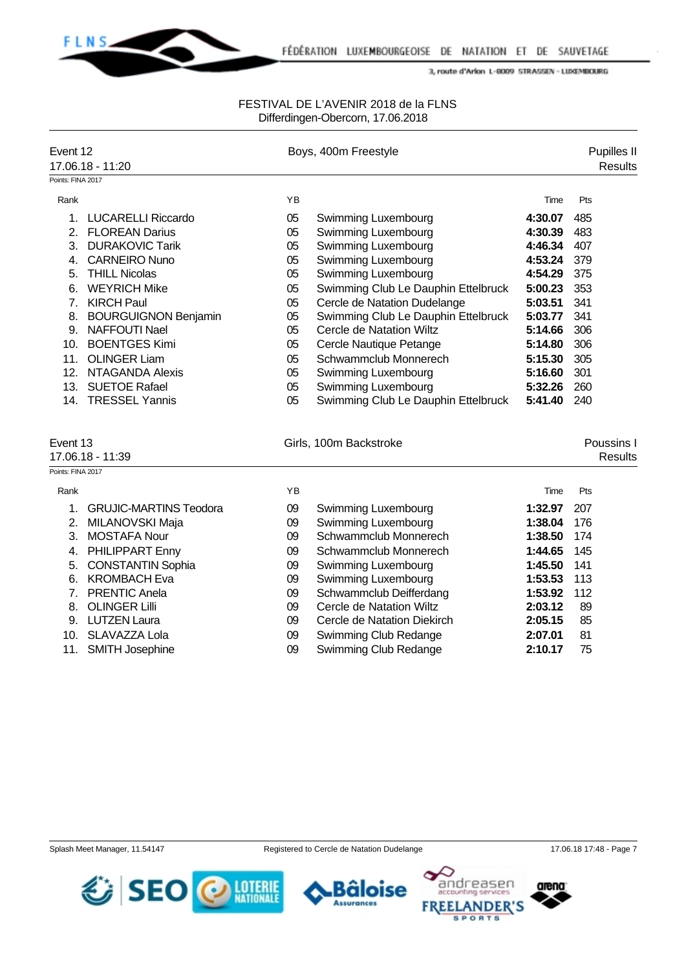

### FESTIVAL DE L'AVENIR 2018 de la FLNS Differdingen-Obercorn, 17.06.2018

| Event 12          | 17.06.18 - 11:20              |    | Boys, 400m Freestyle                |         |     | Pupilles II<br><b>Results</b> |
|-------------------|-------------------------------|----|-------------------------------------|---------|-----|-------------------------------|
| Points: FINA 2017 |                               |    |                                     |         |     |                               |
| Rank              |                               | YB |                                     | Time    | Pts |                               |
| 1.                | <b>LUCARELLI Riccardo</b>     | 05 | Swimming Luxembourg                 | 4:30.07 | 485 |                               |
| 2.                | <b>FLOREAN Darius</b>         | 05 | Swimming Luxembourg                 | 4:30.39 | 483 |                               |
|                   | 3. DURAKOVIC Tarik            | 05 | Swimming Luxembourg                 | 4:46.34 | 407 |                               |
| 4.                | <b>CARNEIRO Nuno</b>          | 05 | Swimming Luxembourg                 | 4:53.24 | 379 |                               |
| 5.                | <b>THILL Nicolas</b>          | 05 | Swimming Luxembourg                 | 4:54.29 | 375 |                               |
| 6.                | <b>WEYRICH Mike</b>           | 05 | Swimming Club Le Dauphin Ettelbruck | 5:00.23 | 353 |                               |
|                   | 7. KIRCH Paul                 | 05 | Cercle de Natation Dudelange        | 5:03.51 | 341 |                               |
|                   | 8. BOURGUIGNON Benjamin       | 05 | Swimming Club Le Dauphin Ettelbruck | 5:03.77 | 341 |                               |
|                   | 9. NAFFOUTI Nael              | 05 | Cercle de Natation Wiltz            | 5:14.66 | 306 |                               |
|                   | 10. BOENTGES Kimi             | 05 | Cercle Nautique Petange             | 5:14.80 | 306 |                               |
| 11.               | <b>OLINGER Liam</b>           | 05 | Schwammclub Monnerech               | 5:15.30 | 305 |                               |
| 12.               | <b>NTAGANDA Alexis</b>        | 05 | <b>Swimming Luxembourg</b>          | 5:16.60 | 301 |                               |
| 13.               | <b>SUETOE Rafael</b>          | 05 | Swimming Luxembourg                 | 5:32.26 | 260 |                               |
| 14.               | <b>TRESSEL Yannis</b>         | 05 | Swimming Club Le Dauphin Ettelbruck | 5:41.40 | 240 |                               |
|                   |                               |    |                                     |         |     |                               |
| Event 13          |                               |    | Girls, 100m Backstroke              |         |     | Poussins I                    |
|                   | 17.06.18 - 11:39              |    |                                     |         |     | <b>Results</b>                |
| Points: FINA 2017 |                               |    |                                     |         |     |                               |
| Rank              |                               | YB |                                     | Time    | Pts |                               |
| 1.                | <b>GRUJIC-MARTINS Teodora</b> | 09 | Swimming Luxembourg                 | 1:32.97 | 207 |                               |
| 2.                | MILANOVSKI Maja               | 09 | Swimming Luxembourg                 | 1:38.04 | 176 |                               |
| 3.                | <b>MOSTAFA Nour</b>           | 09 | Schwammclub Monnerech               | 1:38.50 | 174 |                               |
| 4.                | PHILIPPART Enny               | 09 | Schwammclub Monnerech               | 1:44.65 | 145 |                               |
| 5.                | <b>CONSTANTIN Sophia</b>      | 09 | Swimming Luxembourg                 | 1:45.50 | 141 |                               |
| 6.                | <b>KROMBACH Eva</b>           | 09 | Swimming Luxembourg                 | 1:53.53 | 113 |                               |
| 7.                | <b>PRENTIC Anela</b>          | 09 | Schwammclub Deifferdang             | 1:53.92 | 112 |                               |
| 8.                | <b>OLINGER Lilli</b>          | 09 | Cercle de Natation Wiltz            | 2:03.12 | 89  |                               |
| 9.                | <b>LUTZEN Laura</b>           | 09 | Cercle de Natation Diekirch         | 2:05.15 | 85  |                               |
| 10.               | SLAVAZZA Lola                 | 09 | Swimming Club Redange               | 2:07.01 | 81  |                               |
| 11.               | SMITH Josephine               | 09 | Swimming Club Redange               | 2:10.17 | 75  |                               |







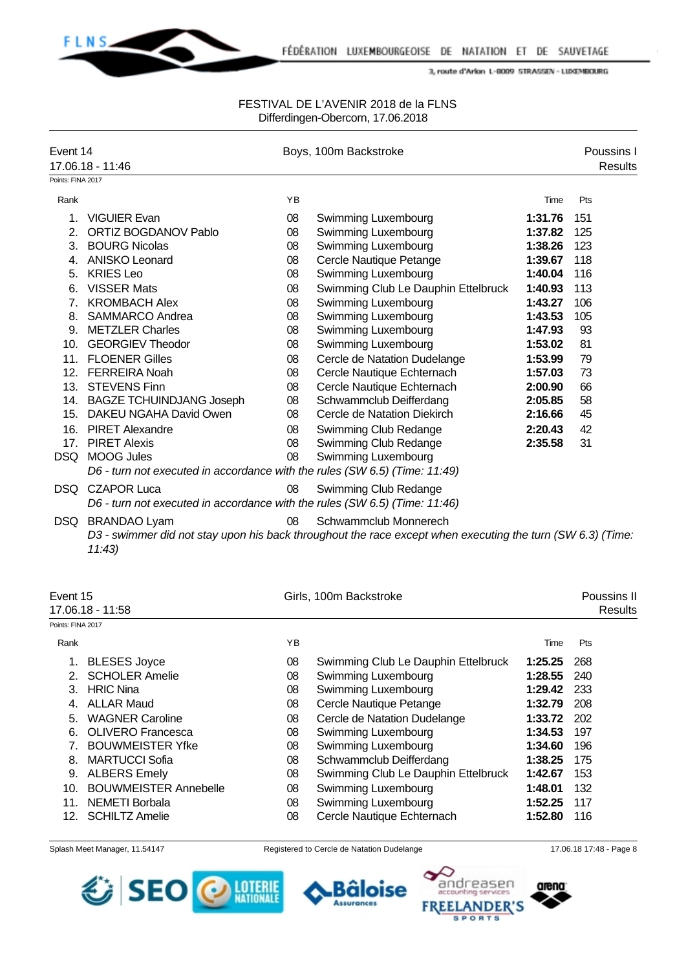

#### FESTIVAL DE L'AVENIR 2018 de la FLNS Differdingen-Obercorn, 17.06.2018

| Event 14          |                                                                            |    | Boys, 100m Backstroke                                                                                      |         | Poussins I     |
|-------------------|----------------------------------------------------------------------------|----|------------------------------------------------------------------------------------------------------------|---------|----------------|
| Points: FINA 2017 | 17.06.18 - 11:46                                                           |    |                                                                                                            |         | <b>Results</b> |
|                   |                                                                            |    |                                                                                                            |         |                |
| Rank              |                                                                            | YB |                                                                                                            | Time    | Pts            |
| 1.                | <b>VIGUIER Evan</b>                                                        | 08 | Swimming Luxembourg                                                                                        | 1:31.76 | 151            |
| 2.                | ORTIZ BOGDANOV Pablo                                                       | 08 | Swimming Luxembourg                                                                                        | 1:37.82 | 125            |
|                   | 3. BOURG Nicolas                                                           | 08 | Swimming Luxembourg                                                                                        | 1:38.26 | 123            |
|                   | 4. ANISKO Leonard                                                          | 08 | Cercle Nautique Petange                                                                                    | 1:39.67 | 118            |
|                   | 5. KRIES Leo                                                               | 08 | Swimming Luxembourg                                                                                        | 1:40.04 | 116            |
|                   | 6. VISSER Mats                                                             | 08 | Swimming Club Le Dauphin Ettelbruck                                                                        | 1:40.93 | 113            |
|                   | 7. KROMBACH Alex                                                           | 08 | Swimming Luxembourg                                                                                        | 1:43.27 | 106            |
|                   | 8. SAMMARCO Andrea                                                         | 08 | Swimming Luxembourg                                                                                        | 1:43.53 | 105            |
|                   | 9. METZLER Charles                                                         | 08 | Swimming Luxembourg                                                                                        | 1:47.93 | 93             |
|                   | 10. GEORGIEV Theodor                                                       | 08 | Swimming Luxembourg                                                                                        | 1:53.02 | 81             |
|                   | 11. FLOENER Gilles                                                         | 08 | Cercle de Natation Dudelange                                                                               | 1:53.99 | 79             |
|                   | 12. FERREIRA Noah                                                          | 08 | Cercle Nautique Echternach                                                                                 | 1:57.03 | 73             |
|                   | 13. STEVENS Finn                                                           | 08 | Cercle Nautique Echternach                                                                                 | 2:00.90 | 66             |
|                   | 14. BAGZE TCHUINDJANG Joseph                                               | 08 | Schwammclub Deifferdang                                                                                    | 2:05.85 | 58             |
|                   | 15. DAKEU NGAHA David Owen                                                 | 08 | Cercle de Natation Diekirch                                                                                | 2:16.66 | 45             |
|                   | 16. PIRET Alexandre                                                        | 08 | Swimming Club Redange                                                                                      | 2:20.43 | 42             |
|                   | 17. PIRET Alexis                                                           | 08 | Swimming Club Redange                                                                                      | 2:35.58 | 31             |
|                   | DSQ MOOG Jules                                                             | 08 | Swimming Luxembourg                                                                                        |         |                |
|                   | D6 - turn not executed in accordance with the rules (SW 6.5) (Time: 11:49) |    |                                                                                                            |         |                |
|                   | DSQ CZAPOR Luca                                                            | 08 | Swimming Club Redange                                                                                      |         |                |
|                   | D6 - turn not executed in accordance with the rules (SW 6.5) (Time: 11:46) |    |                                                                                                            |         |                |
|                   | DSQ BRANDAO Lyam                                                           | 08 | Schwammclub Monnerech                                                                                      |         |                |
|                   |                                                                            |    | D3 - swimmer did not stay upon his back throughout the race except when executing the turn (SW 6.3) (Time: |         |                |
|                   | 11:43                                                                      |    |                                                                                                            |         |                |
|                   |                                                                            |    |                                                                                                            |         |                |
|                   |                                                                            |    |                                                                                                            |         |                |
| Event 15          |                                                                            |    | Girls, 100m Backstroke                                                                                     |         | Poussins II    |
|                   | 17.06.18 - 11:58                                                           |    |                                                                                                            |         | <b>Results</b> |
| Points: FINA 2017 |                                                                            |    |                                                                                                            |         |                |
| Rank              |                                                                            | ΥB |                                                                                                            | Time    | Pts            |
| 1.                | <b>BLESES Joyce</b>                                                        | 08 | Swimming Club Le Dauphin Ettelbruck                                                                        | 1:25.25 | 268            |
| 2.                | <b>SCHOLER Amelie</b>                                                      | 08 | Swimming Luxembourg                                                                                        | 1:28.55 | 240            |
| З.                | <b>HRIC Nina</b>                                                           | 08 | Swimming Luxembourg                                                                                        | 1:29.42 | 233            |
|                   |                                                                            |    |                                                                                                            |         |                |

- 4. ALLAR Maud 08 Cercle Nautique Petange **1:32.79** 208
- 5. WAGNER Caroline 08 Cercle de Natation Dudelange **1:33.72** 202
- 6. OLIVERO Francesca 08 Swimming Luxembourg **1:34.53** 197
- 7. BOUWMEISTER Yfke 08 Swimming Luxembourg **1:34.60** 196
- 8. MARTUCCI Sofia 08 Schwammclub Deifferdang **1:38.25** 175
- 9. ALBERS Emely 08 Swimming Club Le Dauphin Ettelbruck **1:42.67** 153
- 10. BOUWMEISTER Annebelle 08 Swimming Luxembourg **1:48.01** 132
- 11. NEMETI Borbala 08 Swimming Luxembourg **1:52.25** 117
- 12. SCHILTZ Amelie 08 Cercle Nautique Echternach **1:52.80** 116
- Splash Meet Manager, 11.54147 Registered to Cercle de Natation Dudelange 17.06.18 17:48 Page 8







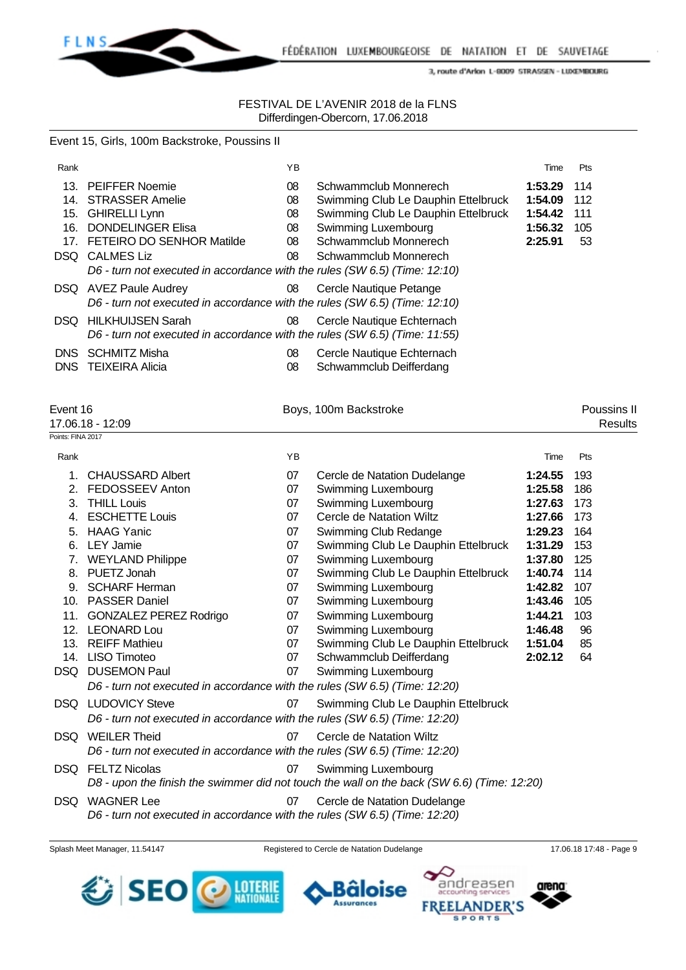

# FESTIVAL DE L'AVENIR 2018 de la FLNS Differdingen-Obercorn, 17.06.2018

Event 15, Girls, 100m Backstroke, Poussins II

| Rank       |                                                                            | YB |                                     | Time    | Pts |
|------------|----------------------------------------------------------------------------|----|-------------------------------------|---------|-----|
| 13.        | <b>PEIFFER Noemie</b>                                                      | 08 | Schwammclub Monnerech               | 1:53.29 | 114 |
|            | 14. STRASSER Amelie                                                        | 08 | Swimming Club Le Dauphin Ettelbruck | 1:54.09 | 112 |
| 15.        | <b>GHIRELLI Lynn</b>                                                       | 08 | Swimming Club Le Dauphin Ettelbruck | 1:54.42 | 111 |
| 16.        | <b>DONDELINGER Elisa</b>                                                   | 08 | Swimming Luxembourg                 | 1:56.32 | 105 |
|            | 17. FETEIRO DO SENHOR Matilde                                              | 08 | Schwammclub Monnerech               | 2:25.91 | 53  |
| DSQ.       | CALMES Liz                                                                 | 08 | Schwammclub Monnerech               |         |     |
|            | D6 - turn not executed in accordance with the rules (SW 6.5) (Time: 12:10) |    |                                     |         |     |
|            | DSQ AVEZ Paule Audrey                                                      | 08 | Cercle Nautique Petange             |         |     |
|            | D6 - turn not executed in accordance with the rules (SW 6.5) (Time: 12:10) |    |                                     |         |     |
|            | <b>DSQ</b> HILKHUIJSEN Sarah                                               | 08 | Cercle Nautique Echternach          |         |     |
|            | D6 - turn not executed in accordance with the rules (SW 6.5) (Time: 11:55) |    |                                     |         |     |
| DNS.       | <b>SCHMITZ Misha</b>                                                       | 08 | Cercle Nautique Echternach          |         |     |
| <b>DNS</b> | <b>TEIXEIRA Alicia</b>                                                     | 08 | Schwammclub Deifferdang             |         |     |
|            |                                                                            |    |                                     |         |     |

| Event 16          |                                                                                                   |    | Boys, 100m Backstroke                                                                                             |         | Poussins II    |
|-------------------|---------------------------------------------------------------------------------------------------|----|-------------------------------------------------------------------------------------------------------------------|---------|----------------|
|                   | 17.06.18 - 12:09                                                                                  |    |                                                                                                                   |         | <b>Results</b> |
| Points: FINA 2017 |                                                                                                   |    |                                                                                                                   |         |                |
| Rank              |                                                                                                   | YB |                                                                                                                   | Time    | Pts            |
| 1.                | <b>CHAUSSARD Albert</b>                                                                           | 07 | Cercle de Natation Dudelange                                                                                      | 1:24.55 | 193            |
| 2.                | FEDOSSEEV Anton                                                                                   | 07 | Swimming Luxembourg                                                                                               | 1:25.58 | 186            |
| 3.                | <b>THILL Louis</b>                                                                                | 07 | Swimming Luxembourg                                                                                               | 1:27.63 | 173            |
| 4.                | <b>ESCHETTE Louis</b>                                                                             | 07 | Cercle de Natation Wiltz                                                                                          | 1:27.66 | 173            |
| 5.                | <b>HAAG Yanic</b>                                                                                 | 07 | Swimming Club Redange                                                                                             | 1:29.23 | 164            |
| 6.                | <b>LEY Jamie</b>                                                                                  | 07 | Swimming Club Le Dauphin Ettelbruck                                                                               | 1:31.29 | 153            |
|                   | 7. WEYLAND Philippe                                                                               | 07 | Swimming Luxembourg                                                                                               | 1:37.80 | 125            |
| 8.                | PUETZ Jonah                                                                                       | 07 | Swimming Club Le Dauphin Ettelbruck                                                                               | 1:40.74 | 114            |
| 9.                | <b>SCHARF Herman</b>                                                                              | 07 | Swimming Luxembourg                                                                                               | 1:42.82 | 107            |
| 10.               | <b>PASSER Daniel</b>                                                                              | 07 | Swimming Luxembourg                                                                                               | 1:43.46 | 105            |
| 11.               | <b>GONZALEZ PEREZ Rodrigo</b>                                                                     | 07 | Swimming Luxembourg                                                                                               | 1:44.21 | 103            |
|                   | 12. LEONARD Lou                                                                                   | 07 | Swimming Luxembourg                                                                                               | 1:46.48 | 96             |
| 13.               | <b>REIFF Mathieu</b>                                                                              | 07 | Swimming Club Le Dauphin Ettelbruck                                                                               | 1:51.04 | 85             |
| 14.               | <b>LISO Timoteo</b>                                                                               | 07 | Schwammclub Deifferdang                                                                                           | 2:02.12 | 64             |
| DSQ.              | <b>DUSEMON Paul</b>                                                                               | 07 | Swimming Luxembourg                                                                                               |         |                |
|                   | D6 - turn not executed in accordance with the rules (SW 6.5) (Time: 12:20)                        |    |                                                                                                                   |         |                |
|                   | <b>DSQ</b> LUDOVICY Steve                                                                         | 07 | Swimming Club Le Dauphin Ettelbruck                                                                               |         |                |
|                   | D6 - turn not executed in accordance with the rules (SW 6.5) (Time: 12:20)                        |    |                                                                                                                   |         |                |
| DSQ.              | <b>WEILER Theid</b><br>D6 - turn not executed in accordance with the rules (SW 6.5) (Time: 12:20) | 07 | Cercle de Natation Wiltz                                                                                          |         |                |
|                   | <b>DSO</b> FELTZ Nicolas                                                                          | 07 | Swimming Luxembourg<br>D8 - upon the finish the swimmer did not touch the wall on the back (SW 6.6) (Time: 12:20) |         |                |
| DSQ.              | <b>WAGNER Lee</b>                                                                                 | 07 | Cercle de Natation Dudelange                                                                                      |         |                |

*D6 - turn not executed in accordance with the rules (SW 6.5) (Time: 12:20)*





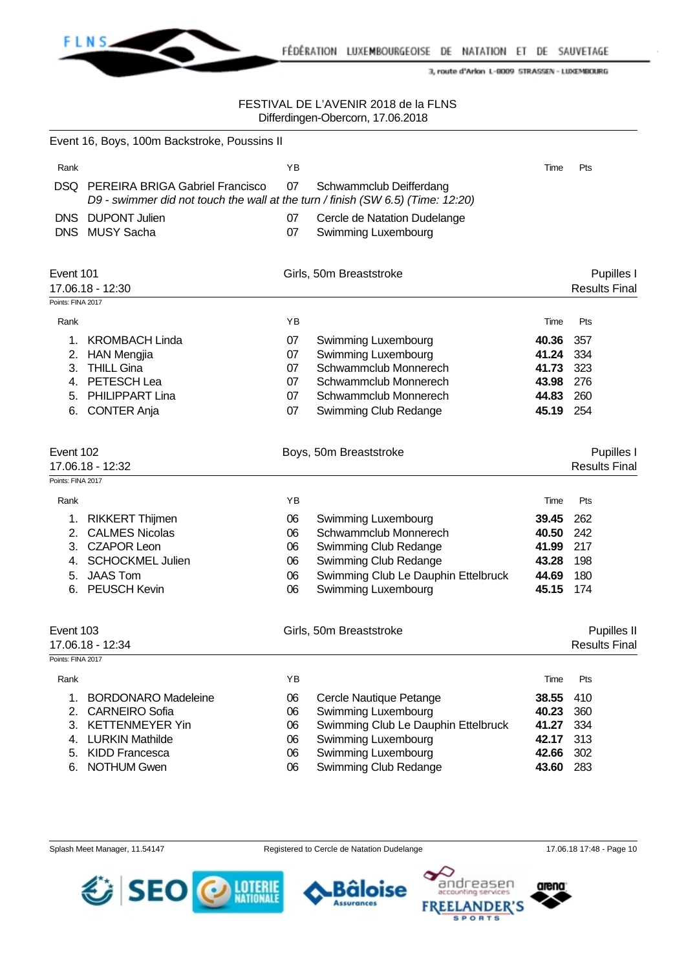

### FESTIVAL DE L'AVENIR 2018 de la FLNS Differdingen-Obercorn, 17.06.2018

|                                | Event 16, Boys, 100m Backstroke, Poussins II                                                                              |          |                                                            |                |                                     |
|--------------------------------|---------------------------------------------------------------------------------------------------------------------------|----------|------------------------------------------------------------|----------------|-------------------------------------|
| Rank                           |                                                                                                                           | ΥB       |                                                            | Time           | Pts                                 |
| DSQ.                           | <b>PEREIRA BRIGA Gabriel Francisco</b><br>D9 - swimmer did not touch the wall at the turn / finish (SW 6.5) (Time: 12:20) | 07       | Schwammclub Deifferdang                                    |                |                                     |
|                                | DNS DUPONT Julien<br>DNS MUSY Sacha                                                                                       | 07<br>07 | Cercle de Natation Dudelange<br>Swimming Luxembourg        |                |                                     |
| Event 101                      | 17.06.18 - 12:30                                                                                                          |          | Girls, 50m Breaststroke                                    |                | Pupilles I<br><b>Results Final</b>  |
| Points: FINA 2017<br>Rank      |                                                                                                                           | YB       |                                                            | Time           | Pts                                 |
|                                |                                                                                                                           |          |                                                            |                |                                     |
| 1.<br>2.                       | <b>KROMBACH Linda</b><br><b>HAN Mengjia</b>                                                                               | 07<br>07 | Swimming Luxembourg<br>Swimming Luxembourg                 | 40.36<br>41.24 | 357<br>334                          |
| 3.                             | <b>THILL Gina</b>                                                                                                         | 07       | Schwammclub Monnerech                                      | 41.73          | 323                                 |
| 4.                             | PETESCH Lea                                                                                                               | 07       | Schwammclub Monnerech                                      | 43.98          | 276                                 |
| 5.                             | PHILIPPART Lina                                                                                                           | 07       | Schwammclub Monnerech                                      | 44.83          | 260                                 |
| 6.                             | <b>CONTER Anja</b>                                                                                                        | 07       | Swimming Club Redange                                      | 45.19          | 254                                 |
| Event 102<br>Points: FINA 2017 | 17.06.18 - 12:32                                                                                                          |          | Boys, 50m Breaststroke                                     |                | Pupilles I<br><b>Results Final</b>  |
| Rank                           |                                                                                                                           | YB       |                                                            | Time           | Pts                                 |
| 1.                             | <b>RIKKERT Thijmen</b>                                                                                                    | 06       | Swimming Luxembourg                                        | 39.45          | 262                                 |
| 2.                             | <b>CALMES Nicolas</b>                                                                                                     | 06       | Schwammclub Monnerech                                      | 40.50          | 242                                 |
| 3.                             | <b>CZAPOR Leon</b>                                                                                                        | 06       | Swimming Club Redange                                      | 41.99          | 217                                 |
| 4.                             | <b>SCHOCKMEL Julien</b>                                                                                                   | 06       | Swimming Club Redange                                      | 43.28          | 198                                 |
| 5.                             | <b>JAAS Tom</b>                                                                                                           | 06       | Swimming Club Le Dauphin Ettelbruck                        | 44.69          | 180                                 |
| 6.                             | <b>PEUSCH Kevin</b>                                                                                                       | 06       | Swimming Luxembourg                                        | 45.15          | 174                                 |
| Event 103<br>Points: FINA 2017 | 17.06.18 - 12:34                                                                                                          |          | Girls, 50m Breaststroke                                    |                | Pupilles II<br><b>Results Final</b> |
| Rank                           |                                                                                                                           | YB       |                                                            | Time           | Pts                                 |
|                                |                                                                                                                           |          |                                                            |                |                                     |
| 1.                             | <b>BORDONARO Madeleine</b>                                                                                                | 06       | Cercle Nautique Petange                                    | 38.55<br>40.23 | 410<br>360                          |
| 2.<br>3.                       | <b>CARNEIRO Sofia</b><br><b>KETTENMEYER Yin</b>                                                                           | 06<br>06 | Swimming Luxembourg<br>Swimming Club Le Dauphin Ettelbruck | 41.27          | 334                                 |
| 4.                             | <b>LURKIN Mathilde</b>                                                                                                    | 06       | Swimming Luxembourg                                        | 42.17          | 313                                 |
| 5.                             | <b>KIDD Francesca</b>                                                                                                     | 06       | Swimming Luxembourg                                        | 42.66          | 302                                 |
| 6.                             | <b>NOTHUM Gwen</b>                                                                                                        | 06       | Swimming Club Redange                                      | 43.60          | 283                                 |
|                                |                                                                                                                           |          |                                                            |                |                                     |





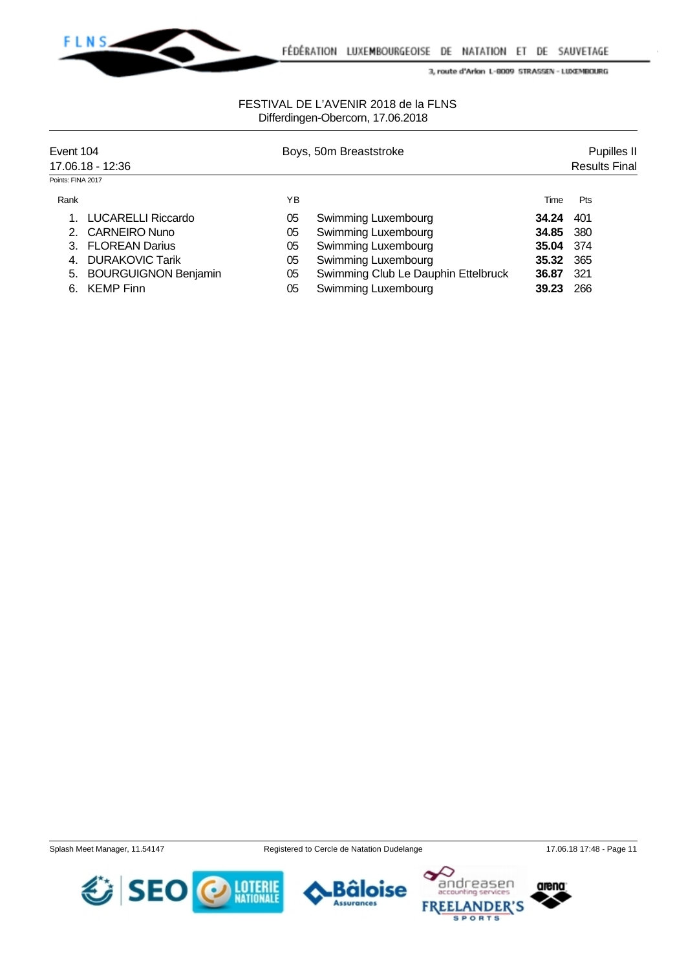

# FESTIVAL DE L'AVENIR 2018 de la FLNS Differdingen-Obercorn, 17.06.2018

| Event 104<br>17.06.18 - 12:36 |                             |    | Boys, 50m Breaststroke              |       | Pupilles II<br><b>Results Final</b> |  |  |
|-------------------------------|-----------------------------|----|-------------------------------------|-------|-------------------------------------|--|--|
| Points: FINA 2017             |                             |    |                                     |       |                                     |  |  |
| Rank                          |                             | ΥB |                                     | Time  | <b>Pts</b>                          |  |  |
|                               | LUCARELLI Riccardo          | 05 | Swimming Luxembourg                 | 34.24 | 401                                 |  |  |
|                               | 2. CARNEIRO Nuno            | 05 | Swimming Luxembourg                 | 34.85 | 380                                 |  |  |
|                               | <b>FLOREAN Darius</b>       | 05 | Swimming Luxembourg                 | 35.04 | -374                                |  |  |
| 4.                            | <b>DURAKOVIC Tarik</b>      | 05 | Swimming Luxembourg                 | 35.32 | 365                                 |  |  |
| 5.                            | <b>BOURGUIGNON Benjamin</b> | 05 | Swimming Club Le Dauphin Ettelbruck | 36.87 | 321                                 |  |  |
| 6.                            | <b>KEMP Finn</b>            | 05 | Swimming Luxembourg                 | 39.23 | 266                                 |  |  |





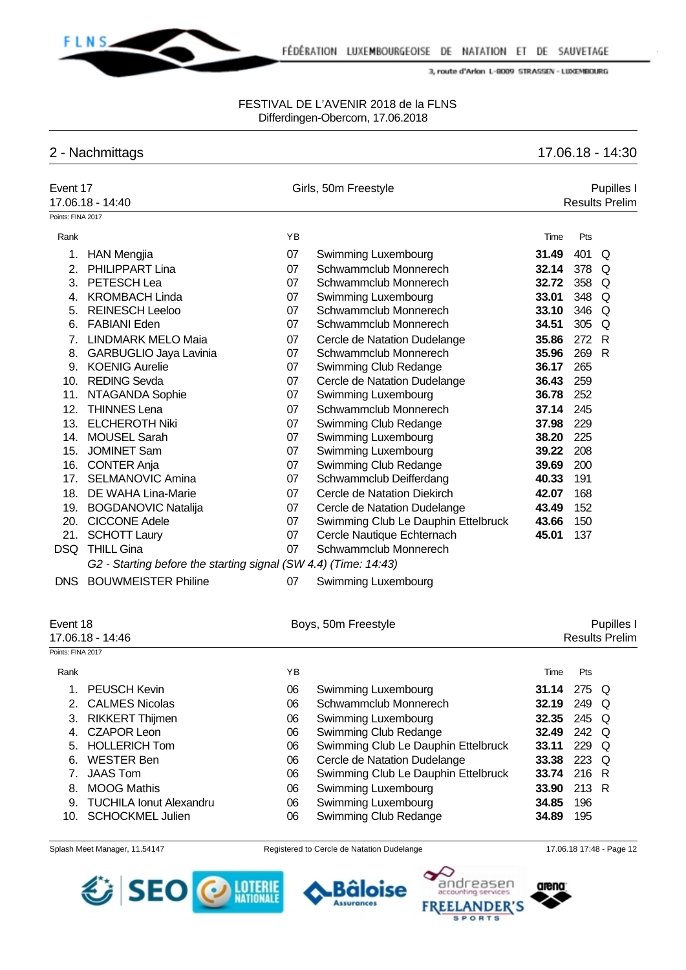

### FESTIVAL DE L'AVENIR 2018 de la FLNS Differdingen-Obercorn, 17.06.2018

# 2 - Nachmittags 17.06.18 - 14:30

| Event 17          | 17.06.18 - 14:40                                                |    | Girls, 50m Freestyle                |       | Pupilles I<br><b>Results Prelim</b> |  |
|-------------------|-----------------------------------------------------------------|----|-------------------------------------|-------|-------------------------------------|--|
| Points: FINA 2017 |                                                                 |    |                                     |       |                                     |  |
| Rank              |                                                                 | YB |                                     | Time  | Pts                                 |  |
| 1.                | <b>HAN Mengjia</b>                                              | 07 | Swimming Luxembourg                 | 31.49 | 401<br>Q                            |  |
| 2.                | PHILIPPART Lina                                                 | 07 | Schwammclub Monnerech               | 32.14 | 378<br>Q                            |  |
|                   | 3. PETESCH Lea                                                  | 07 | Schwammclub Monnerech               | 32.72 | 358<br>Q                            |  |
|                   | 4. KROMBACH Linda                                               | 07 | Swimming Luxembourg                 | 33.01 | 348<br>Q                            |  |
| 5.                | <b>REINESCH Leeloo</b>                                          | 07 | Schwammclub Monnerech               | 33.10 | 346 Q                               |  |
|                   | 6. FABIANI Eden                                                 | 07 | Schwammclub Monnerech               | 34.51 | 305 Q                               |  |
|                   | 7. LINDMARK MELO Maia                                           | 07 | Cercle de Natation Dudelange        | 35.86 | 272 R                               |  |
|                   | 8. GARBUGLIO Jaya Lavinia                                       | 07 | Schwammclub Monnerech               | 35.96 | 269<br>$\mathsf{R}$                 |  |
|                   | 9. KOENIG Aurelie                                               | 07 | Swimming Club Redange               | 36.17 | 265                                 |  |
|                   | 10. REDING Sevda                                                | 07 | Cercle de Natation Dudelange        | 36.43 | 259                                 |  |
| 11.               | NTAGANDA Sophie                                                 | 07 | Swimming Luxembourg                 | 36.78 | 252                                 |  |
| 12.               | <b>THINNES Lena</b>                                             | 07 | Schwammclub Monnerech               | 37.14 | 245                                 |  |
| 13.               | <b>ELCHEROTH Niki</b>                                           | 07 | Swimming Club Redange               | 37.98 | 229                                 |  |
| 14.               | <b>MOUSEL Sarah</b>                                             | 07 | Swimming Luxembourg                 | 38.20 | 225                                 |  |
| 15.               | <b>JOMINET Sam</b>                                              | 07 | Swimming Luxembourg                 | 39.22 | 208                                 |  |
|                   | 16. CONTER Anja                                                 | 07 | Swimming Club Redange               | 39.69 | 200                                 |  |
| 17.               | <b>SELMANOVIC Amina</b>                                         | 07 | Schwammclub Deifferdang             | 40.33 | 191                                 |  |
| 18.               | DE WAHA Lina-Marie                                              | 07 | Cercle de Natation Diekirch         | 42.07 | 168                                 |  |
|                   | 19. BOGDANOVIC Natalija                                         | 07 | Cercle de Natation Dudelange        | 43.49 | 152                                 |  |
|                   | 20. CICCONE Adele                                               | 07 | Swimming Club Le Dauphin Ettelbruck | 43.66 | 150                                 |  |
| 21.               | <b>SCHOTT Laury</b>                                             | 07 | Cercle Nautique Echternach          | 45.01 | 137                                 |  |
| <b>DSQ</b>        | <b>THILL Gina</b>                                               | 07 | Schwammclub Monnerech               |       |                                     |  |
|                   | G2 - Starting before the starting signal (SW 4.4) (Time: 14:43) |    |                                     |       |                                     |  |
|                   | DNS BOUWMEISTER Philine                                         | 07 | Swimming Luxembourg                 |       |                                     |  |
| Event 18          |                                                                 |    | Boys, 50m Freestyle                 |       | Pupilles I                          |  |
|                   | 17.06.18 - 14:46                                                |    |                                     |       | <b>Results Prelim</b>               |  |
| Points: FINA 2017 |                                                                 |    |                                     |       |                                     |  |
| Rank              |                                                                 | YB |                                     | Time  | Pts                                 |  |
| 1.                | <b>PEUSCH Kevin</b>                                             | 06 | Swimming Luxembourg                 |       | 31.14 275 Q                         |  |
|                   | 2. CALMES Nicolas                                               | 06 | Schwammclub Monnerech               |       | 32.19 249 Q                         |  |
|                   | 3. RIKKERT Thijmen                                              | 06 | Swimming Luxembourg                 | 32.35 | 245 Q                               |  |
|                   | 4. CZAPOR Leon                                                  | 06 | Swimming Club Redange               | 32.49 | 242 Q                               |  |
|                   | 5. HOLLERICH Tom                                                | 06 | Swimming Club Le Dauphin Ettelbruck | 33.11 | 229 Q                               |  |
|                   | 6. WESTER Ben                                                   | 06 | Cercle de Natation Dudelange        |       | 33.38 223 Q                         |  |
| 7.                | <b>JAAS Tom</b>                                                 | 06 | Swimming Club Le Dauphin Ettelbruck |       | 33.74 216 R                         |  |
|                   | 8. MOOG Mathis                                                  | 06 | <b>Swimming Luxembourg</b>          | 33.90 | 213 R                               |  |
|                   | 9. TUCHILA Ionut Alexandru                                      | 06 | Swimming Luxembourg                 | 34.85 | 196                                 |  |
| 10.               | <b>SCHOCKMEL Julien</b>                                         | 06 | Swimming Club Redange               | 34.89 | 195                                 |  |
|                   |                                                                 |    |                                     |       |                                     |  |





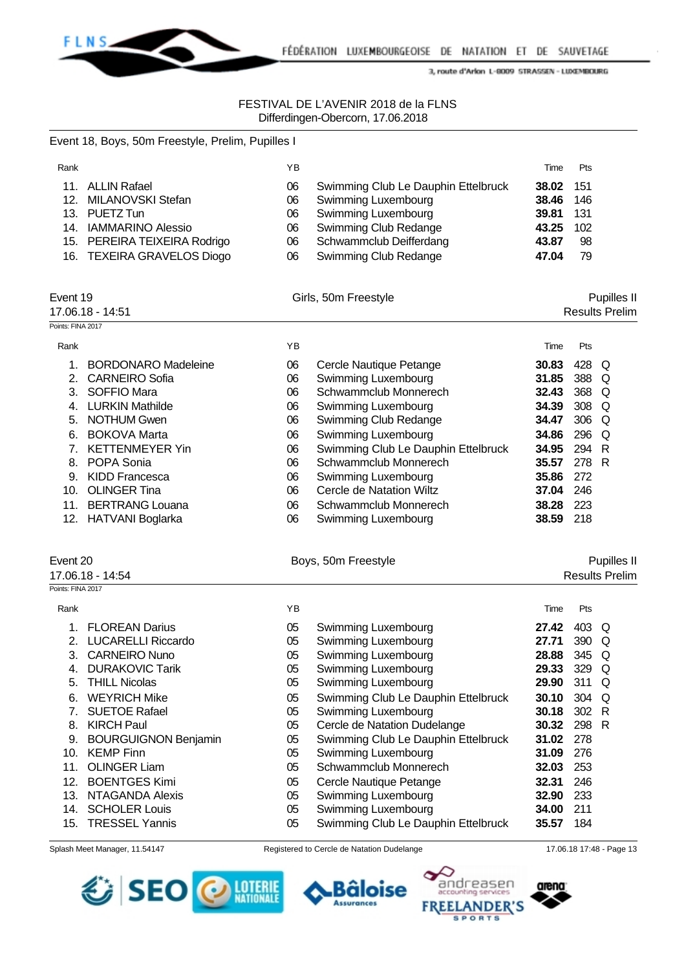

Event 18, Boys, 50m Freestyle, Prelim, Pupilles I

3, route d'Arlon L-8009 STRASSEN - LUXEMBOURG

# FESTIVAL DE L'AVENIR 2018 de la FLNS Differdingen-Obercorn, 17.06.2018

| Rank              |                              | ΥB |                                     | Time      | Pts   |                       |
|-------------------|------------------------------|----|-------------------------------------|-----------|-------|-----------------------|
| 11.               | <b>ALLIN Rafael</b>          | 06 | Swimming Club Le Dauphin Ettelbruck | 38.02     | 151   |                       |
| 12.               | MILANOVSKI Stefan            | 06 | Swimming Luxembourg                 | 38.46     | 146   |                       |
| 13.               | PUETZ Tun                    | 06 | Swimming Luxembourg                 | 39.81     | 131   |                       |
|                   | 14. IAMMARINO Alessio        | 06 | Swimming Club Redange               | 43.25     | 102   |                       |
|                   | 15. PEREIRA TEIXEIRA Rodrigo | 06 | Schwammclub Deifferdang             | 43.87     | 98    |                       |
|                   | 16. TEXEIRA GRAVELOS Diogo   | 06 | Swimming Club Redange               | 47.04     | 79    |                       |
|                   |                              |    |                                     |           |       |                       |
| Event 19          |                              |    | Girls, 50m Freestyle                |           |       | Pupilles II           |
|                   | 17.06.18 - 14:51             |    |                                     |           |       | <b>Results Prelim</b> |
| Points: FINA 2017 |                              |    |                                     |           |       |                       |
| Rank              |                              | YB |                                     | Time      | Pts   |                       |
| 1.                | <b>BORDONARO Madeleine</b>   | 06 | Cercle Nautique Petange             | 30.83     | 428 Q |                       |
| 2.                | <b>CARNEIRO Sofia</b>        | 06 | Swimming Luxembourg                 | 31.85     | 388 Q |                       |
| 3.                | <b>SOFFIO Mara</b>           | 06 | Schwammclub Monnerech               | 32.43     | 368 Q |                       |
|                   | 4. LURKIN Mathilde           | 06 | Swimming Luxembourg                 | 34.39     | 308   | Q                     |
| 5.                | <b>NOTHUM Gwen</b>           | 06 | Swimming Club Redange               | 34.47     | 306   | Q                     |
| 6.                | <b>BOKOVA Marta</b>          | 06 | Swimming Luxembourg                 | 34.86     | 296   | Q                     |
| 7.                | <b>KETTENMEYER Yin</b>       | 06 | Swimming Club Le Dauphin Ettelbruck | 34.95     | 294 R |                       |
| 8.                | POPA Sonia                   | 06 | Schwammclub Monnerech               | 35.57     | 278 R |                       |
| 9.                | <b>KIDD Francesca</b>        | 06 | Swimming Luxembourg                 | 35.86     | 272   |                       |
| 10.               | <b>OLINGER Tina</b>          | 06 | Cercle de Natation Wiltz            | 37.04     | 246   |                       |
| 11.               | <b>BERTRANG Louana</b>       | 06 | Schwammclub Monnerech               | 38.28     | 223   |                       |
|                   | 12. HATVANI Boglarka         | 06 | Swimming Luxembourg                 | 38.59 218 |       |                       |
|                   |                              |    |                                     |           |       |                       |
| Event 20          |                              |    | Boys, 50m Freestyle                 |           |       | Pupilles II           |
|                   | 17.06.18 - 14:54             |    |                                     |           |       | <b>Results Prelim</b> |
| Points: FINA 2017 |                              |    |                                     |           |       |                       |
| Rank              |                              | YB |                                     | Time      | Pts   |                       |
| 1.                | <b>FLOREAN Darius</b>        | 05 | Swimming Luxembourg                 | 27.42     | 403 Q |                       |
| 2.                | <b>LUCARELLI Riccardo</b>    | 05 | Swimming Luxembourg                 | 27.71     | 390 Q |                       |
| 3.                | <b>CARNEIRO Nuno</b>         | 05 | Swimming Luxembourg                 | 28.88     | 345   | Q                     |
| 4.                | <b>DURAKOVIC Tarik</b>       | 05 | Swimming Luxembourg                 | 29.33     | 329   | Q                     |
| 5.                | <b>THILL Nicolas</b>         | 05 | Swimming Luxembourg                 | 29.90     | 311 Q |                       |
| 6.                | <b>WEYRICH Mike</b>          | 05 | Swimming Club Le Dauphin Ettelbruck | 30.10     | 304 Q |                       |
| 7.                | <b>SUETOE Rafael</b>         | 05 | Swimming Luxembourg                 | 30.18     | 302 R |                       |
| 8.                | <b>KIRCH Paul</b>            | 05 | Cercle de Natation Dudelange        | 30.32     | 298 R |                       |
| 9.                | <b>BOURGUIGNON Benjamin</b>  | 05 | Swimming Club Le Dauphin Ettelbruck | 31.02     | 278   |                       |
|                   | 10. KEMP Finn                | 05 | Swimming Luxembourg                 | 31.09     | 276   |                       |
| 11.               | <b>OLINGER Liam</b>          | 05 | Schwammclub Monnerech               | 32.03     | 253   |                       |
| 12.               | <b>BOENTGES Kimi</b>         | 05 | Cercle Nautique Petange             | 32.31     | 246   |                       |
|                   | 13. NTAGANDA Alexis          | 05 | Swimming Luxembourg                 | 32.90     | 233   |                       |
|                   | 14. SCHOLER Louis            | 05 | Swimming Luxembourg                 | 34.00     | 211   |                       |
| 15.               | <b>TRESSEL Yannis</b>        | 05 | Swimming Club Le Dauphin Ettelbruck | 35.57     | 184   |                       |







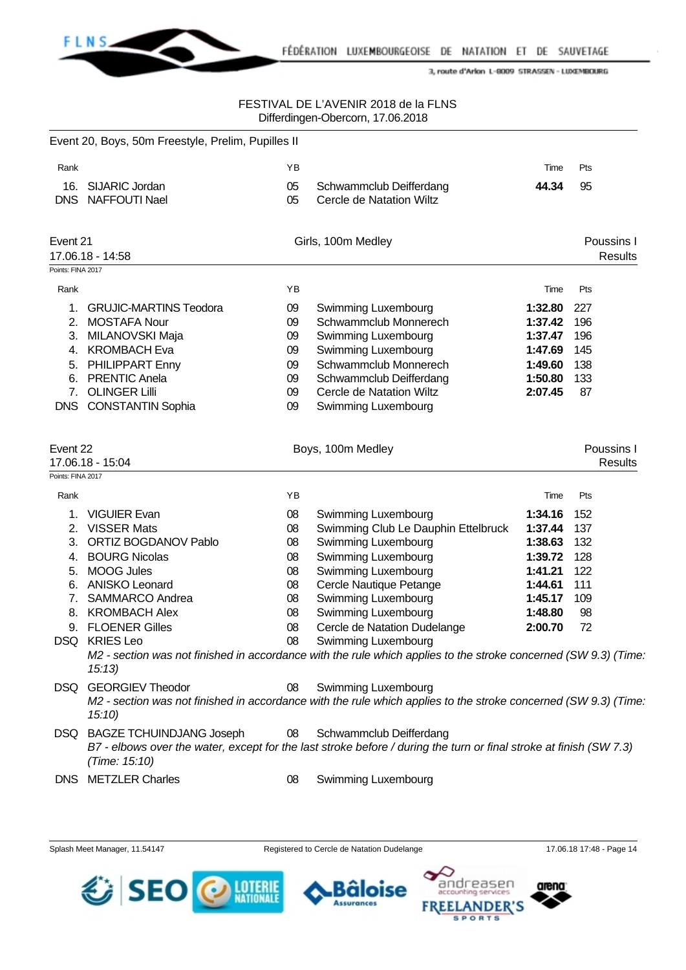

# FESTIVAL DE L'AVENIR 2018 de la FLNS Differdingen-Obercorn, 17.06.2018

|                   | Event 20, Boys, 50m Freestyle, Prelim, Pupilles II |    |                                                                                                                    |         |                              |  |
|-------------------|----------------------------------------------------|----|--------------------------------------------------------------------------------------------------------------------|---------|------------------------------|--|
| Rank              |                                                    | ΥB |                                                                                                                    | Time    | Pts                          |  |
| 16.               | SIJARIC Jordan                                     | 05 | Schwammclub Deifferdang                                                                                            | 44.34   | 95                           |  |
| <b>DNS</b>        | <b>NAFFOUTI Nael</b>                               | 05 | Cercle de Natation Wiltz                                                                                           |         |                              |  |
| Event 21          |                                                    |    | Girls, 100m Medley                                                                                                 |         | Poussins I                   |  |
|                   | 17.06.18 - 14:58                                   |    |                                                                                                                    |         | <b>Results</b>               |  |
| Points: FINA 2017 |                                                    |    |                                                                                                                    |         |                              |  |
| Rank              |                                                    | YB |                                                                                                                    | Time    | Pts                          |  |
| 1.                | <b>GRUJIC-MARTINS Teodora</b>                      | 09 | Swimming Luxembourg                                                                                                | 1:32.80 | 227                          |  |
| 2.                | <b>MOSTAFA Nour</b>                                | 09 | Schwammclub Monnerech                                                                                              | 1:37.42 | 196                          |  |
| 3.                | MILANOVSKI Maja                                    | 09 | Swimming Luxembourg                                                                                                | 1:37.47 | 196                          |  |
| 4.                | <b>KROMBACH Eva</b>                                | 09 | Swimming Luxembourg                                                                                                | 1:47.69 | 145                          |  |
| 5.                | PHILIPPART Enny                                    | 09 | Schwammclub Monnerech                                                                                              | 1:49.60 | 138                          |  |
| 6.                | <b>PRENTIC Anela</b>                               | 09 | Schwammclub Deifferdang                                                                                            | 1:50.80 | 133                          |  |
| 7.                | <b>OLINGER Lilli</b>                               | 09 | Cercle de Natation Wiltz                                                                                           | 2:07.45 | 87                           |  |
|                   | DNS CONSTANTIN Sophia                              | 09 | Swimming Luxembourg                                                                                                |         |                              |  |
| Event 22          | 17.06.18 - 15:04                                   |    | Boys, 100m Medley                                                                                                  |         | Poussins I<br><b>Results</b> |  |
| Points: FINA 2017 |                                                    |    |                                                                                                                    |         |                              |  |
| Rank              |                                                    | YB |                                                                                                                    | Time    | Pts                          |  |
| 1.                | <b>VIGUIER Evan</b>                                | 08 | Swimming Luxembourg                                                                                                | 1:34.16 | 152                          |  |
| 2.                | <b>VISSER Mats</b>                                 | 08 | Swimming Club Le Dauphin Ettelbruck                                                                                | 1:37.44 | 137                          |  |
| 3.                | <b>ORTIZ BOGDANOV Pablo</b>                        | 08 | Swimming Luxembourg                                                                                                | 1:38.63 | 132                          |  |
| 4.                | <b>BOURG Nicolas</b>                               | 08 | Swimming Luxembourg                                                                                                | 1:39.72 | 128                          |  |
| 5.                | <b>MOOG Jules</b>                                  | 08 | Swimming Luxembourg                                                                                                | 1:41.21 | 122                          |  |
| 6.                | <b>ANISKO Leonard</b>                              | 08 | Cercle Nautique Petange                                                                                            | 1:44.61 | 111                          |  |
| 7.                | SAMMARCO Andrea                                    | 08 | Swimming Luxembourg                                                                                                | 1:45.17 | 109                          |  |
| 8.                | <b>KROMBACH Alex</b>                               | 08 | Swimming Luxembourg                                                                                                | 1:48.80 | 98                           |  |
| 9.                | <b>FLOENER Gilles</b>                              | 08 | Cercle de Natation Dudelange                                                                                       | 2:00.70 | 72                           |  |
|                   | DSQ KRIES Leo                                      | 08 | Swimming Luxembourg                                                                                                |         |                              |  |
|                   | 15:13                                              |    | M2 - section was not finished in accordance with the rule which applies to the stroke concerned (SW 9.3) (Time     |         |                              |  |
| DSQ               | <b>GEORGIEV Theodor</b>                            | 08 | Swimming Luxembourg                                                                                                |         |                              |  |
|                   | 15:10                                              |    | M2 - section was not finished in accordance with the rule which applies to the stroke concerned (SW 9.3) (Time     |         |                              |  |
|                   | DSQ BAGZE TCHUINDJANG Joseph                       | 08 | Schwammclub Deifferdang                                                                                            |         |                              |  |
|                   | (Time: 15:10)                                      |    | B7 - elbows over the water, except for the last stroke before / during the turn or final stroke at finish (SW 7.3) |         |                              |  |
|                   | DNS METZLER Charles                                | 08 | Swimming Luxembourg                                                                                                |         |                              |  |





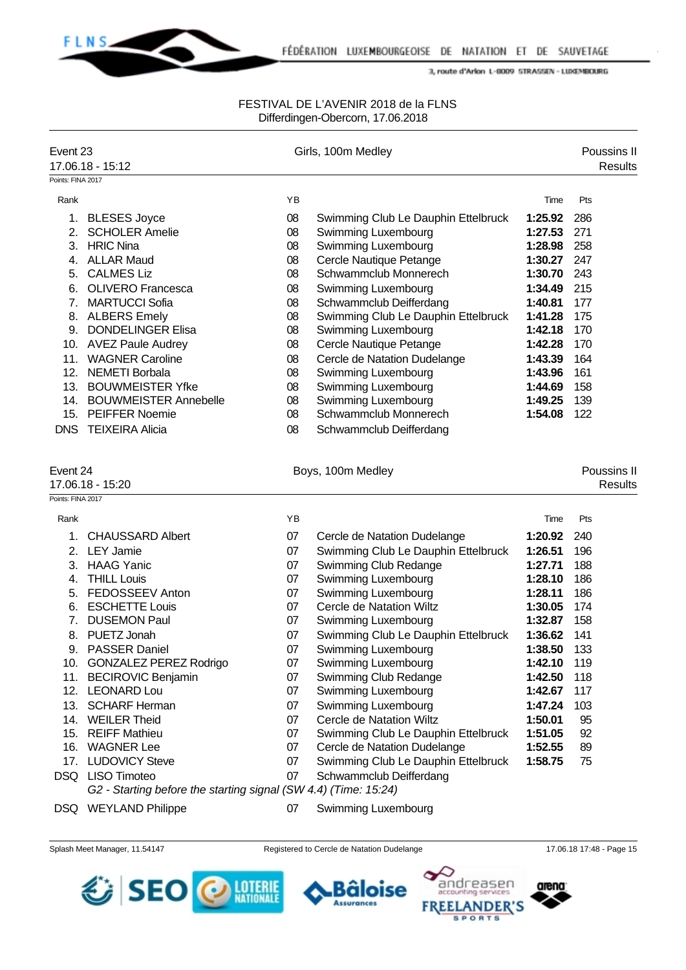

### FESTIVAL DE L'AVENIR 2018 de la FLNS Differdingen-Obercorn, 17.06.2018

| Event 23                               | 17.06.18 - 15:12                                                                                                                                                                                                                                                                                                                                                                          |                                                                                              | Girls, 100m Medley                                                                                                                                                                                                                                                                                                                                                                                                                                      |                                                                                                                                                                   | Poussins II<br><b>Results</b>                                                                         |
|----------------------------------------|-------------------------------------------------------------------------------------------------------------------------------------------------------------------------------------------------------------------------------------------------------------------------------------------------------------------------------------------------------------------------------------------|----------------------------------------------------------------------------------------------|---------------------------------------------------------------------------------------------------------------------------------------------------------------------------------------------------------------------------------------------------------------------------------------------------------------------------------------------------------------------------------------------------------------------------------------------------------|-------------------------------------------------------------------------------------------------------------------------------------------------------------------|-------------------------------------------------------------------------------------------------------|
| Points: FINA 2017                      |                                                                                                                                                                                                                                                                                                                                                                                           |                                                                                              |                                                                                                                                                                                                                                                                                                                                                                                                                                                         |                                                                                                                                                                   |                                                                                                       |
| Rank                                   |                                                                                                                                                                                                                                                                                                                                                                                           | ΥB                                                                                           |                                                                                                                                                                                                                                                                                                                                                                                                                                                         | Time                                                                                                                                                              | Pts                                                                                                   |
| 1.<br>2.<br>3.<br>4.<br>5.<br>6.<br>7. | <b>BLESES Joyce</b><br><b>SCHOLER Amelie</b><br><b>HRIC Nina</b><br><b>ALLAR Maud</b><br><b>CALMES Liz</b><br><b>OLIVERO Francesca</b><br><b>MARTUCCI Sofia</b><br>8. ALBERS Emely<br>9. DONDELINGER Elisa<br>10. AVEZ Paule Audrey<br>11. WAGNER Caroline<br>12. NEMETI Borbala<br>13. BOUWMEISTER Yfke<br>14. BOUWMEISTER Annebelle<br>15. PEIFFER Noemie<br><b>DNS TEIXEIRA Alicia</b> | 08<br>08<br>08<br>08<br>08<br>08<br>08<br>08<br>08<br>08<br>08<br>08<br>08<br>08<br>08<br>08 | Swimming Club Le Dauphin Ettelbruck<br><b>Swimming Luxembourg</b><br><b>Swimming Luxembourg</b><br>Cercle Nautique Petange<br>Schwammclub Monnerech<br>Swimming Luxembourg<br>Schwammclub Deifferdang<br>Swimming Club Le Dauphin Ettelbruck<br>Swimming Luxembourg<br>Cercle Nautique Petange<br>Cercle de Natation Dudelange<br>Swimming Luxembourg<br>Swimming Luxembourg<br>Swimming Luxembourg<br>Schwammclub Monnerech<br>Schwammclub Deifferdang | 1:25.92<br>1:27.53<br>1:28.98<br>1:30.27<br>1:30.70<br>1:34.49<br>1:40.81<br>1:41.28<br>1:42.18<br>1:42.28<br>1:43.39<br>1:43.96<br>1:44.69<br>1:49.25<br>1:54.08 | 286<br>271<br>258<br>247<br>243<br>215<br>177<br>175<br>170<br>170<br>164<br>161<br>158<br>139<br>122 |
| Event 24                               | 17.06.18 - 15:20                                                                                                                                                                                                                                                                                                                                                                          |                                                                                              | Boys, 100m Medley                                                                                                                                                                                                                                                                                                                                                                                                                                       |                                                                                                                                                                   | Poussins II<br><b>Results</b>                                                                         |
| Points: FINA 2017                      |                                                                                                                                                                                                                                                                                                                                                                                           |                                                                                              |                                                                                                                                                                                                                                                                                                                                                                                                                                                         |                                                                                                                                                                   |                                                                                                       |
| Rank                                   |                                                                                                                                                                                                                                                                                                                                                                                           | ΥB                                                                                           |                                                                                                                                                                                                                                                                                                                                                                                                                                                         | Time                                                                                                                                                              | Pts                                                                                                   |
| 1.                                     | <b>CHAUSSARD Albert</b><br>2. LEY Jamie                                                                                                                                                                                                                                                                                                                                                   | 07<br>07                                                                                     | Cercle de Natation Dudelange<br>Swimming Club Le Dauphin Ettelbruck                                                                                                                                                                                                                                                                                                                                                                                     | 1:20.92<br>1:26.51                                                                                                                                                | 240<br>196                                                                                            |
|                                        | 3. HAAG Yanic                                                                                                                                                                                                                                                                                                                                                                             | 07                                                                                           | Swimming Club Redange                                                                                                                                                                                                                                                                                                                                                                                                                                   | 1:27.71                                                                                                                                                           | 188                                                                                                   |
| 4.                                     | <b>THILL Louis</b>                                                                                                                                                                                                                                                                                                                                                                        | 07                                                                                           | <b>Swimming Luxembourg</b>                                                                                                                                                                                                                                                                                                                                                                                                                              | 1:28.10                                                                                                                                                           | 186                                                                                                   |
| 5.                                     | FEDOSSEEV Anton                                                                                                                                                                                                                                                                                                                                                                           | 07                                                                                           | Swimming Luxembourg                                                                                                                                                                                                                                                                                                                                                                                                                                     | 1:28.11                                                                                                                                                           | 186                                                                                                   |
| 6.                                     | <b>ESCHETTE Louis</b>                                                                                                                                                                                                                                                                                                                                                                     | 07                                                                                           | Cercle de Natation Wiltz                                                                                                                                                                                                                                                                                                                                                                                                                                | 1:30.05                                                                                                                                                           | 174                                                                                                   |
| 7.                                     | <b>DUSEMON Paul</b>                                                                                                                                                                                                                                                                                                                                                                       | 07                                                                                           | Swimming Luxembourg                                                                                                                                                                                                                                                                                                                                                                                                                                     | 1:32.87                                                                                                                                                           | 158                                                                                                   |
|                                        | 8. PUETZ Jonah                                                                                                                                                                                                                                                                                                                                                                            | 07                                                                                           | Swimming Club Le Dauphin Ettelbruck                                                                                                                                                                                                                                                                                                                                                                                                                     | 1:36.62                                                                                                                                                           | 141                                                                                                   |
|                                        | 9. PASSER Daniel                                                                                                                                                                                                                                                                                                                                                                          | 07                                                                                           | Swimming Luxembourg                                                                                                                                                                                                                                                                                                                                                                                                                                     | 1:38.50 133                                                                                                                                                       |                                                                                                       |
|                                        | 10. GONZALEZ PEREZ Rodrigo                                                                                                                                                                                                                                                                                                                                                                | 07                                                                                           | Swimming Luxembourg                                                                                                                                                                                                                                                                                                                                                                                                                                     | 1:42.10                                                                                                                                                           | 119                                                                                                   |
|                                        | 11. BECIROVIC Benjamin                                                                                                                                                                                                                                                                                                                                                                    | 07                                                                                           | Swimming Club Redange                                                                                                                                                                                                                                                                                                                                                                                                                                   | 1:42.50                                                                                                                                                           | 118                                                                                                   |
|                                        | 12. LEONARD Lou                                                                                                                                                                                                                                                                                                                                                                           | 07                                                                                           | <b>Swimming Luxembourg</b>                                                                                                                                                                                                                                                                                                                                                                                                                              | 1:42.67                                                                                                                                                           | 117                                                                                                   |
|                                        | 13. SCHARF Herman                                                                                                                                                                                                                                                                                                                                                                         | 07                                                                                           | Swimming Luxembourg                                                                                                                                                                                                                                                                                                                                                                                                                                     | 1:47.24                                                                                                                                                           | 103                                                                                                   |
|                                        | 14. WEILER Theid                                                                                                                                                                                                                                                                                                                                                                          | 07                                                                                           | Cercle de Natation Wiltz                                                                                                                                                                                                                                                                                                                                                                                                                                | 1:50.01                                                                                                                                                           | 95                                                                                                    |
|                                        | 15. REIFF Mathieu                                                                                                                                                                                                                                                                                                                                                                         | 07                                                                                           | Swimming Club Le Dauphin Ettelbruck                                                                                                                                                                                                                                                                                                                                                                                                                     | 1:51.05                                                                                                                                                           | 92                                                                                                    |
| 17.                                    | 16. WAGNER Lee<br><b>LUDOVICY Steve</b>                                                                                                                                                                                                                                                                                                                                                   | 07<br>07                                                                                     | Cercle de Natation Dudelange                                                                                                                                                                                                                                                                                                                                                                                                                            | 1:52.55<br>1:58.75                                                                                                                                                | 89<br>75                                                                                              |
|                                        | DSQ LISO Timoteo                                                                                                                                                                                                                                                                                                                                                                          | 07                                                                                           | Swimming Club Le Dauphin Ettelbruck<br>Schwammclub Deifferdang                                                                                                                                                                                                                                                                                                                                                                                          |                                                                                                                                                                   |                                                                                                       |
|                                        | G2 - Starting before the starting signal (SW 4.4) (Time: 15:24)                                                                                                                                                                                                                                                                                                                           |                                                                                              |                                                                                                                                                                                                                                                                                                                                                                                                                                                         |                                                                                                                                                                   |                                                                                                       |
|                                        | DSQ WEYLAND Philippe                                                                                                                                                                                                                                                                                                                                                                      | 07                                                                                           | <b>Swimming Luxembourg</b>                                                                                                                                                                                                                                                                                                                                                                                                                              |                                                                                                                                                                   |                                                                                                       |

Splash Meet Manager, 11.54147 Registered to Cercle de Natation Dudelange 17.06.18 17:48 - Page 15

**Assurances** 







arena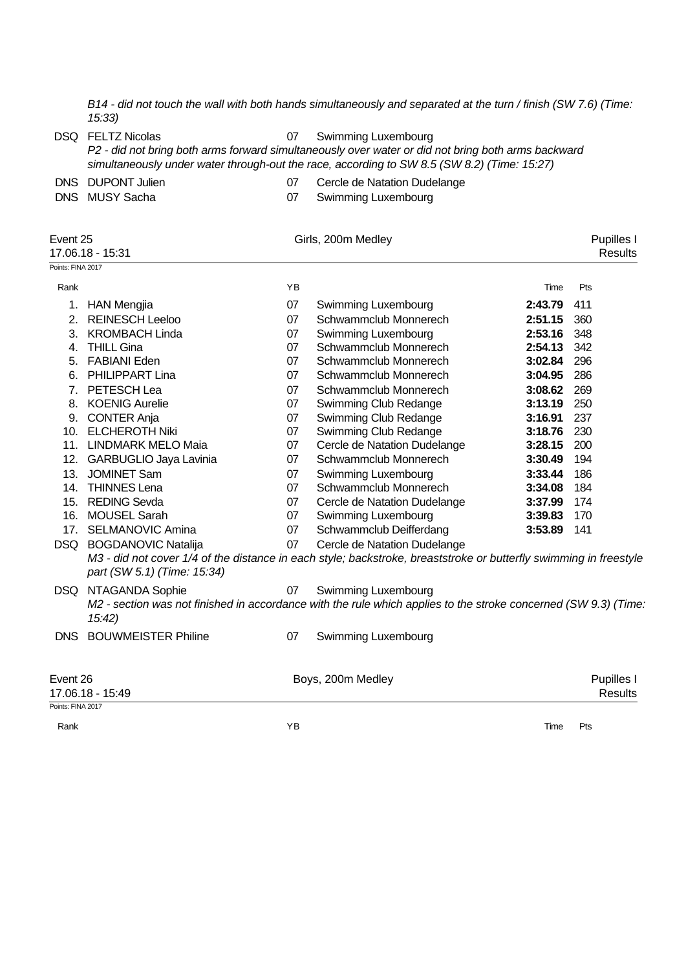*B14 - did not touch the wall with both hands simultaneously and separated at the turn / finish (SW 7.6) (Time: 15:33)*

DSQ FELTZ Nicolas 07 Swimming Luxembourg

*P2 - did not bring both arms forward simultaneously over water or did not bring both arms backward simultaneously under water through-out the race, according to SW 8.5 (SW 8.2) (Time: 15:27)*

DNS DUPONT Julien 07 Cercle de Natation Dudelange

- 
- DNS MUSY Sacha 07 Swimming Luxembourg

| Event 25<br>Points: FINA 2017 | 17.06.18 - 15:31            |    | Girls, 200m Medley                                                                                                |         | Pupilles I<br><b>Results</b> |
|-------------------------------|-----------------------------|----|-------------------------------------------------------------------------------------------------------------------|---------|------------------------------|
| Rank                          |                             | YB |                                                                                                                   | Time    | Pts                          |
|                               | 1. HAN Mengjia              | 07 | Swimming Luxembourg                                                                                               | 2:43.79 | 411                          |
| 2.                            | <b>REINESCH Leeloo</b>      | 07 | Schwammclub Monnerech                                                                                             | 2:51.15 | 360                          |
| 3.                            | <b>KROMBACH Linda</b>       | 07 | Swimming Luxembourg                                                                                               | 2:53.16 | 348                          |
| 4.                            | <b>THILL Gina</b>           | 07 | Schwammclub Monnerech                                                                                             | 2:54.13 | 342                          |
| 5.                            | <b>FABIANI Eden</b>         | 07 | Schwammclub Monnerech                                                                                             | 3:02.84 | 296                          |
| 6.                            | PHILIPPART Lina             | 07 | Schwammclub Monnerech                                                                                             | 3:04.95 | 286                          |
| 7.                            | PETESCH Lea                 | 07 | Schwammclub Monnerech                                                                                             | 3:08.62 | 269                          |
| 8.                            | <b>KOENIG Aurelie</b>       | 07 | Swimming Club Redange                                                                                             | 3:13.19 | 250                          |
| 9.                            | <b>CONTER Anja</b>          | 07 | Swimming Club Redange                                                                                             | 3:16.91 | 237                          |
| 10.                           | <b>ELCHEROTH Niki</b>       | 07 | Swimming Club Redange                                                                                             | 3:18.76 | 230                          |
|                               | 11. LINDMARK MELO Maia      | 07 | Cercle de Natation Dudelange                                                                                      | 3:28.15 | 200                          |
|                               | 12. GARBUGLIO Jaya Lavinia  | 07 | Schwammclub Monnerech                                                                                             | 3:30.49 | 194                          |
|                               | 13. JOMINET Sam             | 07 | <b>Swimming Luxembourg</b>                                                                                        | 3:33.44 | 186                          |
|                               | 14. THINNES Lena            | 07 | Schwammclub Monnerech                                                                                             | 3:34.08 | 184                          |
|                               | 15. REDING Sevda            | 07 | Cercle de Natation Dudelange                                                                                      | 3:37.99 | 174                          |
|                               | 16. MOUSEL Sarah            | 07 | <b>Swimming Luxembourg</b>                                                                                        | 3:39.83 | 170                          |
|                               | 17. SELMANOVIC Amina        | 07 | Schwammclub Deifferdang                                                                                           | 3:53.89 | 141                          |
|                               | DSQ BOGDANOVIC Natalija     | 07 | Cercle de Natation Dudelange                                                                                      |         |                              |
|                               | part (SW 5.1) (Time: 15:34) |    | M3 - did not cover 1/4 of the distance in each style; backstroke, breaststroke or butterfly swimming in freestyle |         |                              |
| DSQ                           | NTAGANDA Sophie             | 07 | Swimming Luxembourg                                                                                               |         |                              |
|                               | 15:42)                      |    | M2 - section was not finished in accordance with the rule which applies to the stroke concerned (SW 9.3) (Time:   |         |                              |
| DNS                           | <b>BOUWMEISTER Philine</b>  | 07 | Swimming Luxembourg                                                                                               |         |                              |
| Event 26                      | 17.06.18 - 15:49            |    | Boys, 200m Medley                                                                                                 |         | Pupilles I<br><b>Results</b> |
| Points: FINA 2017             |                             |    |                                                                                                                   |         |                              |
| Rank                          |                             | ΥB |                                                                                                                   | Time    | Pts                          |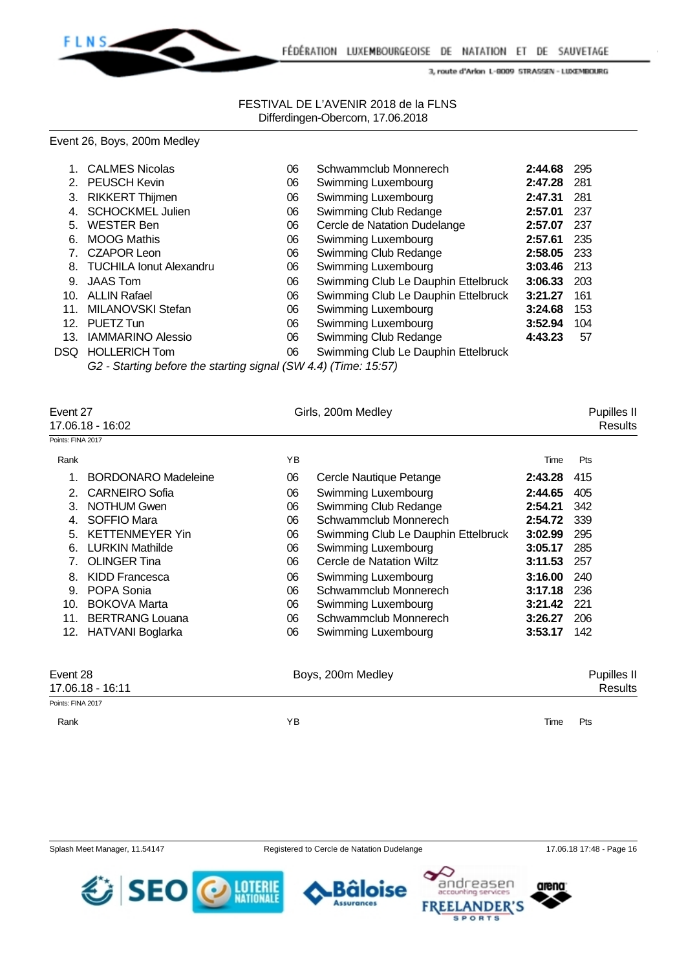

### FESTIVAL DE L'AVENIR 2018 de la FLNS Differdingen-Obercorn, 17.06.2018

### Event 26, Boys, 200m Medley

|                 | <b>CALMES Nicolas</b>      | 06 | Schwammclub Monnerech               | 2:44.68 | 295   |
|-----------------|----------------------------|----|-------------------------------------|---------|-------|
|                 | 2. PEUSCH Kevin            | 06 | Swimming Luxembourg                 | 2:47.28 | - 281 |
| 3.              | <b>RIKKERT Thijmen</b>     | 06 | Swimming Luxembourg                 | 2:47.31 | 281   |
| 4.              | <b>SCHOCKMEL Julien</b>    | 06 | Swimming Club Redange               | 2:57.01 | 237   |
| 5.              | <b>WESTER Ben</b>          | 06 | Cercle de Natation Dudelange        | 2:57.07 | 237   |
| 6.              | <b>MOOG Mathis</b>         | 06 | Swimming Luxembourg                 | 2:57.61 | 235   |
|                 | 7. CZAPOR Leon             | 06 | Swimming Club Redange               | 2:58.05 | - 233 |
|                 | 8. TUCHILA Ionut Alexandru | 06 | Swimming Luxembourg                 | 3:03.46 | - 213 |
| 9.              | <b>JAAS Tom</b>            | 06 | Swimming Club Le Dauphin Ettelbruck | 3:06.33 | 203   |
| 10.             | <b>ALLIN Rafael</b>        | 06 | Swimming Club Le Dauphin Ettelbruck | 3:21.27 | 161   |
| 11 <sub>1</sub> | MILANOVSKI Stefan          | 06 | Swimming Luxembourg                 | 3:24.68 | 153   |
|                 | 12. PUETZ Tun              | 06 | Swimming Luxembourg                 | 3:52.94 | 104   |
| 13.             | <b>IAMMARINO Alessio</b>   | 06 | Swimming Club Redange               | 4:43.23 | 57    |
|                 | DSQ HOLLERICH Tom          | 06 | Swimming Club Le Dauphin Ettelbruck |         |       |
|                 |                            |    |                                     |         |       |

*G2 - Starting before the starting signal (SW 4.4) (Time: 15:57)*

| Event 27<br>17.06.18 - 16:02 |                            |    | Girls, 200m Medley                  |         | Pupilles II<br><b>Results</b> |
|------------------------------|----------------------------|----|-------------------------------------|---------|-------------------------------|
| Points: FINA 2017            |                            |    |                                     |         |                               |
| Rank                         |                            | YB |                                     | Time    | Pts                           |
|                              | <b>BORDONARO Madeleine</b> | 06 | Cercle Nautique Petange             | 2:43.28 | 415                           |
| 2.                           | <b>CARNEIRO Sofia</b>      | 06 | Swimming Luxembourg                 | 2:44.65 | 405                           |
| 3.                           | <b>NOTHUM Gwen</b>         | 06 | Swimming Club Redange               | 2:54.21 | 342                           |
| 4.                           | SOFFIO Mara                | 06 | Schwammclub Monnerech               | 2:54.72 | 339                           |
| 5.                           | <b>KETTENMEYER Yin</b>     | 06 | Swimming Club Le Dauphin Ettelbruck | 3:02.99 | 295                           |
| 6.                           | <b>LURKIN Mathilde</b>     | 06 | Swimming Luxembourg                 | 3:05.17 | 285                           |
|                              | <b>OLINGER Tina</b>        | 06 | Cercle de Natation Wiltz            | 3:11.53 | 257                           |
| 8.                           | <b>KIDD Francesca</b>      | 06 | Swimming Luxembourg                 | 3:16.00 | 240                           |
| 9.                           | POPA Sonia                 | 06 | Schwammclub Monnerech               | 3:17.18 | 236                           |
| 10.                          | <b>BOKOVA Marta</b>        | 06 | Swimming Luxembourg                 | 3:21.42 | 221                           |
| 11.                          | <b>BERTRANG Louana</b>     | 06 | Schwammclub Monnerech               | 3:26.27 | 206                           |
| 12.                          | HATVANI Boglarka           | 06 | Swimming Luxembourg                 | 3:53.17 | 142                           |
| Event 28                     | 17.06.18 - 16:11           |    | Boys, 200m Medley                   |         | Pupilles II<br><b>Results</b> |
| Points: FINA 2017            |                            |    |                                     |         |                               |

**LOTERIE**<br>NATIONALE

Rank Time Pts



SEO

Splash Meet Manager, 11.54147 Registered to Cercle de Natation Dudelange 17.06.18 17:48 - Page 16







SPO

**DER'S** 

**SPORTS** 

FR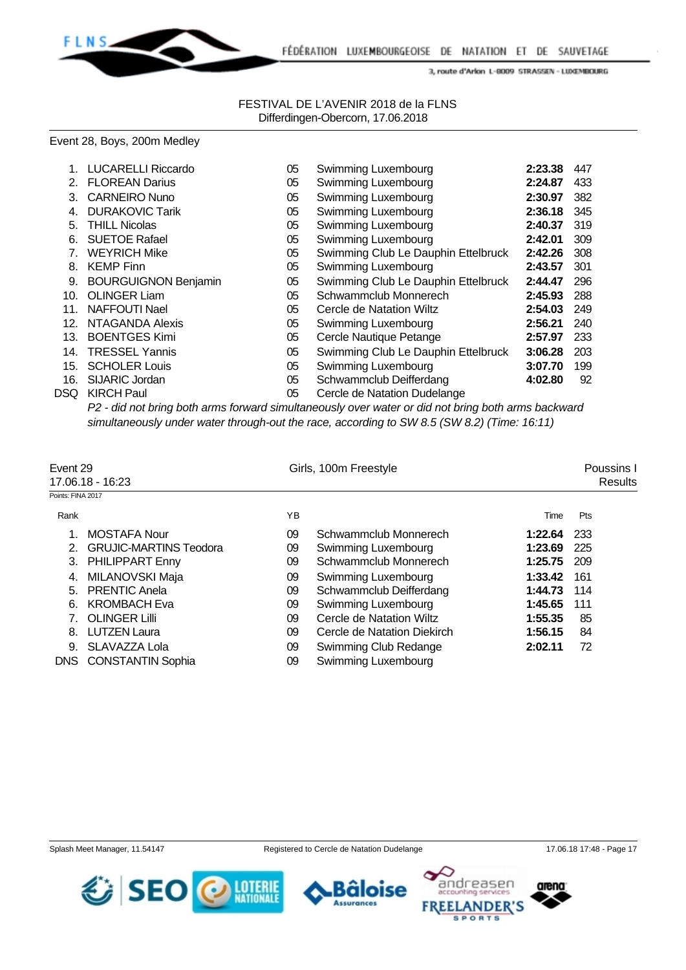

#### FESTIVAL DE L'AVENIR 2018 de la FLNS Differdingen-Obercorn, 17.06.2018

#### Event 28, Boys, 200m Medley

|      | <b>LUCARELLI Riccardo</b>   | 05 | Swimming Luxembourg                 | 2:23.38 | 447 |
|------|-----------------------------|----|-------------------------------------|---------|-----|
| 2.   | <b>FLOREAN Darius</b>       | 05 | Swimming Luxembourg                 | 2:24.87 | 433 |
| З.   | <b>CARNEIRO Nuno</b>        | 05 | Swimming Luxembourg                 | 2:30.97 | 382 |
| 4.   | <b>DURAKOVIC Tarik</b>      | 05 | Swimming Luxembourg                 | 2:36.18 | 345 |
| 5.   | <b>THILL Nicolas</b>        | 05 | Swimming Luxembourg                 | 2:40.37 | 319 |
| 6.   | <b>SUETOE Rafael</b>        | 05 | Swimming Luxembourg                 | 2:42.01 | 309 |
| 7.   | <b>WEYRICH Mike</b>         | 05 | Swimming Club Le Dauphin Ettelbruck | 2:42.26 | 308 |
| 8.   | <b>KEMP Finn</b>            | 05 | Swimming Luxembourg                 | 2:43.57 | 301 |
| 9.   | <b>BOURGUIGNON Benjamin</b> | 05 | Swimming Club Le Dauphin Ettelbruck | 2:44.47 | 296 |
| 10.  | <b>OLINGER Liam</b>         | 05 | Schwammclub Monnerech               | 2:45.93 | 288 |
| 11.  | NAFFOUTI Nael               | 05 | Cercle de Natation Wiltz            | 2:54.03 | 249 |
| 12.  | NTAGANDA Alexis             | 05 | Swimming Luxembourg                 | 2:56.21 | 240 |
| 13.  | <b>BOENTGES Kimi</b>        | 05 | Cercle Nautique Petange             | 2:57.97 | 233 |
| 14.  | <b>TRESSEL Yannis</b>       | 05 | Swimming Club Le Dauphin Ettelbruck | 3:06.28 | 203 |
| 15.  | <b>SCHOLER Louis</b>        | 05 | Swimming Luxembourg                 | 3:07.70 | 199 |
| 16.  | <b>SIJARIC Jordan</b>       | 05 | Schwammclub Deifferdang             | 4:02.80 | 92  |
| DSQ. | <b>KIRCH Paul</b>           | 05 | Cercle de Natation Dudelange        |         |     |
|      |                             |    |                                     |         |     |

*P2 - did not bring both arms forward simultaneously over water or did not bring both arms backward simultaneously under water through-out the race, according to SW 8.5 (SW 8.2) (Time: 16:11)*

| Event 29          |                               |    | Girls, 100m Freestyle       |         |         |  |
|-------------------|-------------------------------|----|-----------------------------|---------|---------|--|
|                   | 17.06.18 - 16:23              |    |                             |         | Results |  |
| Points: FINA 2017 |                               |    |                             |         |         |  |
| Rank              |                               | ΥB |                             | Time    | Pts     |  |
|                   | <b>MOSTAFA Nour</b>           | 09 | Schwammclub Monnerech       | 1:22.64 | 233     |  |
| 2.                | <b>GRUJIC-MARTINS Teodora</b> | 09 | Swimming Luxembourg         | 1:23.69 | 225     |  |
| 3.                | <b>PHILIPPART Enny</b>        | 09 | Schwammclub Monnerech       | 1:25.75 | 209     |  |
| 4.                | MILANOVSKI Maja               | 09 | Swimming Luxembourg         | 1:33.42 | 161     |  |
| 5.                | <b>PRENTIC Anela</b>          | 09 | Schwammclub Deifferdang     | 1:44.73 | 114     |  |
| 6.                | <b>KROMBACH Eva</b>           | 09 | Swimming Luxembourg         | 1:45.65 | 111     |  |
|                   | <b>OLINGER Lilli</b>          | 09 | Cercle de Natation Wiltz    | 1:55.35 | 85      |  |
| 8.                | <b>LUTZEN Laura</b>           | 09 | Cercle de Natation Diekirch | 1:56.15 | 84      |  |
|                   | 9. SLAVAZZA Lola              | 09 | Swimming Club Redange       | 2:02.11 | 72      |  |
|                   | <b>DNS</b> CONSTANTIN Sophia  | 09 | Swimming Luxembourg         |         |         |  |

SEO

LOTERIE<br>NATIONALE





arena

ndreasen

**SPORTS** 

**NDER'S**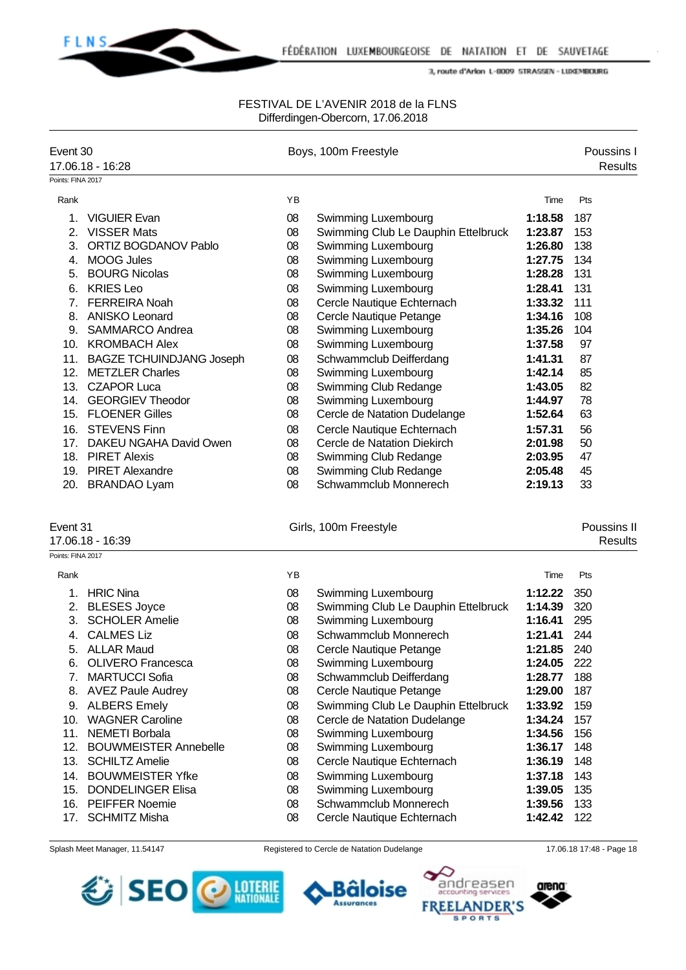

### FESTIVAL DE L'AVENIR 2018 de la FLNS Differdingen-Obercorn, 17.06.2018

| Event 30          | 17.06.18 - 16:28             |    | Boys, 100m Freestyle                |         | Poussins I<br><b>Results</b> |
|-------------------|------------------------------|----|-------------------------------------|---------|------------------------------|
| Points: FINA 2017 |                              |    |                                     |         |                              |
| Rank              |                              | ΥB |                                     | Time    | Pts                          |
| 1.                | <b>VIGUIER Evan</b>          | 08 | Swimming Luxembourg                 | 1:18.58 | 187                          |
| 2.                | <b>VISSER Mats</b>           | 08 | Swimming Club Le Dauphin Ettelbruck | 1:23.87 | 153                          |
| 3.                | ORTIZ BOGDANOV Pablo         | 08 | Swimming Luxembourg                 | 1:26.80 | 138                          |
| 4.                | <b>MOOG Jules</b>            | 08 | Swimming Luxembourg                 | 1:27.75 | 134                          |
| 5.                | <b>BOURG Nicolas</b>         | 08 | Swimming Luxembourg                 | 1:28.28 | 131                          |
|                   | 6. KRIES Leo                 | 08 | Swimming Luxembourg                 | 1:28.41 | 131                          |
| 7.                | <b>FERREIRA Noah</b>         | 08 | Cercle Nautique Echternach          | 1:33.32 | 111                          |
|                   | 8. ANISKO Leonard            | 08 | Cercle Nautique Petange             | 1:34.16 | 108                          |
|                   | 9. SAMMARCO Andrea           | 08 | Swimming Luxembourg                 | 1:35.26 | 104                          |
|                   | 10. KROMBACH Alex            | 08 | Swimming Luxembourg                 | 1:37.58 | 97                           |
|                   | 11. BAGZE TCHUINDJANG Joseph | 08 | Schwammclub Deifferdang             | 1:41.31 | 87                           |
| 12.               | <b>METZLER Charles</b>       | 08 | Swimming Luxembourg                 | 1:42.14 | 85                           |
|                   | 13. CZAPOR Luca              | 08 | Swimming Club Redange               | 1:43.05 | 82                           |
| 14.               | <b>GEORGIEV Theodor</b>      | 08 | Swimming Luxembourg                 | 1:44.97 | 78                           |
|                   | 15. FLOENER Gilles           | 08 | Cercle de Natation Dudelange        | 1:52.64 | 63                           |
| 16.               | <b>STEVENS Finn</b>          | 08 | Cercle Nautique Echternach          | 1:57.31 | 56                           |
| 17.               | DAKEU NGAHA David Owen       | 08 | Cercle de Natation Diekirch         | 2:01.98 | 50                           |
|                   | 18. PIRET Alexis             | 08 | Swimming Club Redange               | 2:03.95 | 47                           |
|                   | 19. PIRET Alexandre          | 08 | Swimming Club Redange               | 2:05.48 | 45                           |
|                   |                              | 08 | Schwammclub Monnerech               | 2:19.13 | 33                           |
|                   | 20. BRANDAO Lyam             |    |                                     |         |                              |
| Event 31          |                              |    | Girls, 100m Freestyle               |         | Poussins II                  |
|                   | 17.06.18 - 16:39             |    |                                     |         | <b>Results</b>               |
| Points: FINA 2017 |                              |    |                                     |         |                              |
| Rank              |                              | YB |                                     | Time    | Pts                          |
| 1.                | <b>HRIC Nina</b>             | 08 | Swimming Luxembourg                 | 1:12.22 | 350                          |
|                   | 2. BLESES Joyce              | 08 | Swimming Club Le Dauphin Ettelbruck | 1:14.39 | 320                          |
| 3.                | <b>SCHOLER Amelie</b>        | 08 | Swimming Luxembourg                 | 1:16.41 | 295                          |
| 4.                | <b>CALMES Liz</b>            | 08 | Schwammclub Monnerech               | 1:21.41 | 244                          |
|                   | 5. ALLAR Maud                | 08 | Cercle Nautique Petange             | 1:21.85 | 240                          |
|                   | 6. OLIVERO Francesca         | 08 | Swimming Luxembourg                 | 1:24.05 | 222                          |
| 7.                | <b>MARTUCCI Sofia</b>        | 08 | Schwammclub Deifferdang             | 1:28.77 | 188                          |
|                   | 8. AVEZ Paule Audrey         | 08 | Cercle Nautique Petange             | 1:29.00 | 187                          |
|                   | 9. ALBERS Emely              | 08 | Swimming Club Le Dauphin Ettelbruck | 1:33.92 | 159                          |
| 10.               | <b>WAGNER Caroline</b>       | 08 | Cercle de Natation Dudelange        | 1:34.24 | 157                          |
| 11.               | <b>NEMETI Borbala</b>        | 08 | Swimming Luxembourg                 | 1:34.56 | 156                          |
| 12.               | <b>BOUWMEISTER Annebelle</b> | 08 | Swimming Luxembourg                 | 1:36.17 | 148                          |
| 13.               | <b>SCHILTZ Amelie</b>        | 08 | Cercle Nautique Echternach          | 1:36.19 | 148                          |
| 14.               | <b>BOUWMEISTER Yfke</b>      | 08 | Swimming Luxembourg                 | 1:37.18 | 143                          |
|                   | 15. DONDELINGER Elisa        | 08 | Swimming Luxembourg                 | 1:39.05 | 135                          |
|                   | 16. PEIFFER Noemie           | 08 | Schwammclub Monnerech               | 1:39.56 | 133                          |
| 17.               | <b>SCHMITZ Misha</b>         | 08 | Cercle Nautique Echternach          | 1:42.42 | 122                          |







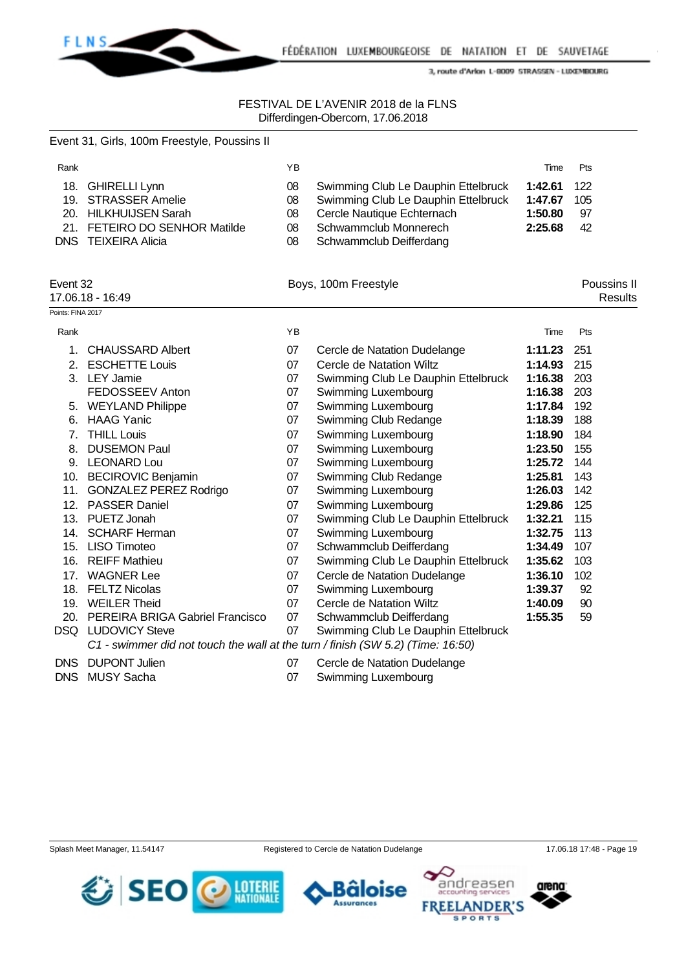

### FESTIVAL DE L'AVENIR 2018 de la FLNS Differdingen-Obercorn, 17.06.2018

|                   | Event 31, Girls, 100m Freestyle, Poussins II                                                                                     |                            |                                                                                                                                                              |                                          |                        |                               |
|-------------------|----------------------------------------------------------------------------------------------------------------------------------|----------------------------|--------------------------------------------------------------------------------------------------------------------------------------------------------------|------------------------------------------|------------------------|-------------------------------|
| Rank              |                                                                                                                                  | YB                         |                                                                                                                                                              | Time                                     | Pts                    |                               |
|                   | 18. GHIRELLI Lynn<br>19. STRASSER Amelie<br>20. HILKHUIJSEN Sarah<br>21. FETEIRO DO SENHOR Matilde<br><b>DNS TEIXEIRA Alicia</b> | 08<br>08<br>08<br>08<br>08 | Swimming Club Le Dauphin Ettelbruck<br>Swimming Club Le Dauphin Ettelbruck<br>Cercle Nautique Echternach<br>Schwammclub Monnerech<br>Schwammclub Deifferdang | 1:42.61<br>1:47.67<br>1:50.80<br>2:25.68 | 122<br>105<br>97<br>42 |                               |
| Event 32          | 17.06.18 - 16:49                                                                                                                 |                            | Boys, 100m Freestyle                                                                                                                                         |                                          |                        | Poussins II<br><b>Results</b> |
| Points: FINA 2017 |                                                                                                                                  |                            |                                                                                                                                                              |                                          |                        |                               |
| Rank              |                                                                                                                                  | YB                         |                                                                                                                                                              | Time                                     | Pts                    |                               |
| 1.                | <b>CHAUSSARD Albert</b>                                                                                                          | 07                         | Cercle de Natation Dudelange                                                                                                                                 | 1:11.23                                  | 251                    |                               |
| 2.                | <b>ESCHETTE Louis</b>                                                                                                            | 07                         | Cercle de Natation Wiltz                                                                                                                                     | 1:14.93                                  | 215                    |                               |
|                   | 3. LEY Jamie                                                                                                                     | 07                         | Swimming Club Le Dauphin Ettelbruck                                                                                                                          | 1:16.38                                  | 203                    |                               |
|                   | FEDOSSEEV Anton                                                                                                                  | 07                         | Swimming Luxembourg                                                                                                                                          | 1:16.38                                  | 203                    |                               |
|                   | 5. WEYLAND Philippe                                                                                                              | 07                         | Swimming Luxembourg                                                                                                                                          | 1:17.84                                  | 192                    |                               |
|                   | 6. HAAG Yanic                                                                                                                    | 07                         | Swimming Club Redange                                                                                                                                        | 1:18.39                                  | 188                    |                               |
|                   | 7. THILL Louis                                                                                                                   | 07                         | Swimming Luxembourg                                                                                                                                          | 1:18.90                                  | 184                    |                               |
| 8.                | <b>DUSEMON Paul</b>                                                                                                              | 07                         | Swimming Luxembourg                                                                                                                                          | 1:23.50                                  | 155                    |                               |
|                   | 9. LEONARD Lou                                                                                                                   | 07                         | Swimming Luxembourg                                                                                                                                          | 1:25.72                                  | 144                    |                               |
|                   | 10. BECIROVIC Benjamin                                                                                                           | 07                         | Swimming Club Redange                                                                                                                                        | 1:25.81                                  | 143                    |                               |
|                   | 11. GONZALEZ PEREZ Rodrigo                                                                                                       | 07                         | Swimming Luxembourg                                                                                                                                          | 1:26.03                                  | 142                    |                               |
|                   | 12. PASSER Daniel                                                                                                                | 07                         | Swimming Luxembourg                                                                                                                                          | 1:29.86                                  | 125                    |                               |
|                   | 13. PUETZ Jonah                                                                                                                  | 07                         | Swimming Club Le Dauphin Ettelbruck                                                                                                                          | 1:32.21                                  | 115                    |                               |
|                   | 14. SCHARF Herman                                                                                                                | 07                         | Swimming Luxembourg                                                                                                                                          | 1:32.75                                  | 113                    |                               |
|                   | 15. LISO Timoteo                                                                                                                 | 07                         | Schwammclub Deifferdang                                                                                                                                      | 1:34.49                                  | 107                    |                               |
|                   | 16. REIFF Mathieu                                                                                                                | 07                         | Swimming Club Le Dauphin Ettelbruck                                                                                                                          | 1:35.62                                  | 103                    |                               |
| 17.               | <b>WAGNER Lee</b>                                                                                                                | 07                         | Cercle de Natation Dudelange                                                                                                                                 | 1:36.10                                  | 102                    |                               |
|                   | 18. FELTZ Nicolas                                                                                                                | 07                         | Swimming Luxembourg                                                                                                                                          | 1:39.37                                  | 92                     |                               |
|                   | 19. WEILER Theid                                                                                                                 | 07                         | Cercle de Natation Wiltz                                                                                                                                     | 1:40.09                                  | 90                     |                               |
|                   | 20. PEREIRA BRIGA Gabriel Francisco                                                                                              | 07                         | Schwammclub Deifferdang                                                                                                                                      | 1:55.35                                  | 59                     |                               |
|                   | DSQ LUDOVICY Steve<br>C1 - swimmer did not touch the wall at the turn / finish (SW 5.2) (Time: 16:50)                            | 07                         | Swimming Club Le Dauphin Ettelbruck                                                                                                                          |                                          |                        |                               |
| <b>DNS</b>        | <b>DUPONT Julien</b>                                                                                                             | 07                         | Cercle de Natation Dudelange                                                                                                                                 |                                          |                        |                               |
| <b>DNS</b>        | <b>MUSY Sacha</b>                                                                                                                | 07                         | Swimming Luxembourg                                                                                                                                          |                                          |                        |                               |





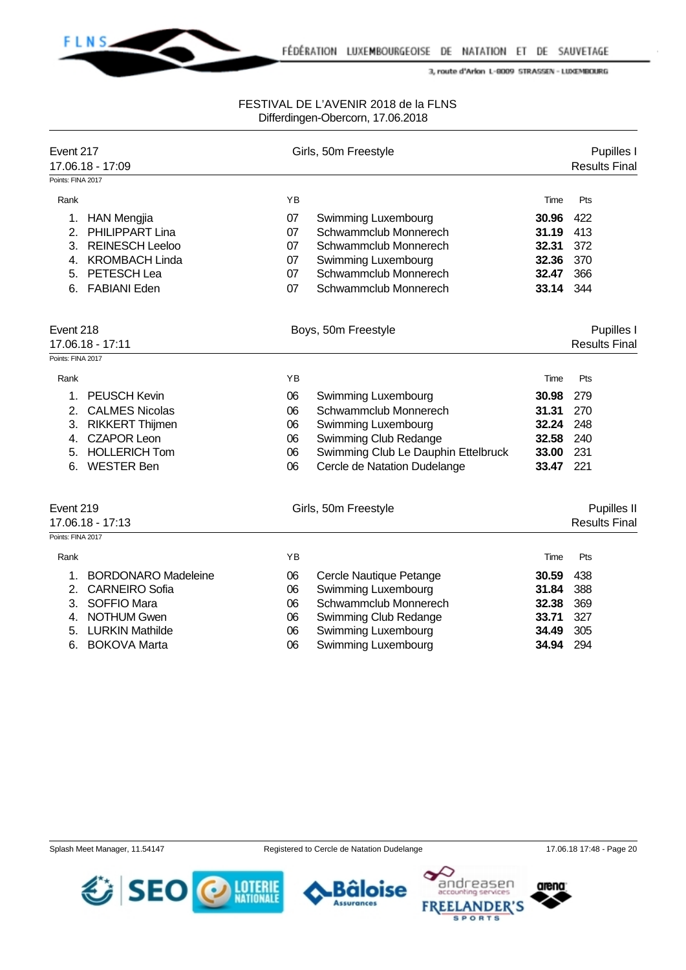**FLNS** 

### FESTIVAL DE L'AVENIR 2018 de la FLNS Differdingen-Obercorn, 17.06.2018

| Event 217<br>17.06.18 - 17:09<br>Points: FINA 2017 |                                       | Girls, 50m Freestyle |                                                     |                | Pupilles I<br><b>Results Final</b> |  |  |
|----------------------------------------------------|---------------------------------------|----------------------|-----------------------------------------------------|----------------|------------------------------------|--|--|
| Rank                                               |                                       | YB                   |                                                     | Time           | Pts                                |  |  |
|                                                    |                                       |                      |                                                     |                |                                    |  |  |
| 1.<br>2.                                           | <b>HAN Mengjia</b><br>PHILIPPART Lina | 07<br>07             | <b>Swimming Luxembourg</b><br>Schwammclub Monnerech | 30.96<br>31.19 | 422<br>413                         |  |  |
| 3.                                                 | <b>REINESCH Leeloo</b>                | 07                   | Schwammclub Monnerech                               | 32.31          | 372                                |  |  |
| 4.                                                 | <b>KROMBACH Linda</b>                 | 07                   |                                                     | 32.36          | 370                                |  |  |
| 5.                                                 | PETESCH Lea                           | 07                   | <b>Swimming Luxembourg</b><br>Schwammclub Monnerech | 32.47          | 366                                |  |  |
|                                                    |                                       |                      |                                                     |                |                                    |  |  |
| 6.                                                 | <b>FABIANI Eden</b>                   | 07                   | Schwammclub Monnerech                               | 33.14          | 344                                |  |  |
| Event 218                                          |                                       | Boys, 50m Freestyle  |                                                     |                | Pupilles I                         |  |  |
| 17.06.18 - 17:11                                   |                                       |                      |                                                     |                | <b>Results Final</b>               |  |  |
| Points: FINA 2017                                  |                                       |                      |                                                     |                |                                    |  |  |
| Rank                                               |                                       | YB                   |                                                     | Time           | Pts                                |  |  |
| 1.                                                 | <b>PEUSCH Kevin</b>                   | 06                   | Swimming Luxembourg                                 | 30.98          | 279                                |  |  |
| 2.                                                 | <b>CALMES Nicolas</b>                 | 06                   | Schwammclub Monnerech                               | 31.31          | 270                                |  |  |
| 3.                                                 | <b>RIKKERT Thijmen</b>                | 06                   | <b>Swimming Luxembourg</b>                          | 32.24          | 248                                |  |  |
| 4.                                                 | <b>CZAPOR Leon</b>                    | 06                   | Swimming Club Redange                               | 32.58          | 240                                |  |  |
| 5.                                                 | <b>HOLLERICH Tom</b>                  | 06                   | Swimming Club Le Dauphin Ettelbruck                 | 33.00          | 231                                |  |  |
| 6.                                                 | <b>WESTER Ben</b>                     | 06                   | Cercle de Natation Dudelange                        | 33.47          | 221                                |  |  |
|                                                    |                                       |                      |                                                     |                |                                    |  |  |
| Event 219                                          |                                       |                      | Girls, 50m Freestyle                                |                | Pupilles II                        |  |  |
|                                                    | 17.06.18 - 17:13                      |                      |                                                     |                | <b>Results Final</b>               |  |  |
| Points: FINA 2017                                  |                                       |                      |                                                     |                |                                    |  |  |
| Rank                                               |                                       | YB                   |                                                     | Time           | Pts                                |  |  |
| 1.                                                 | <b>BORDONARO Madeleine</b>            | 06                   | Cercle Nautique Petange                             | 30.59          | 438                                |  |  |
| 2.                                                 | <b>CARNEIRO Sofia</b>                 | 06                   | <b>Swimming Luxembourg</b>                          | 31.84          | 388                                |  |  |
| 3.                                                 | SOFFIO Mara                           | 06                   | Schwammclub Monnerech                               | 32.38          | 369                                |  |  |
| 4.                                                 | <b>NOTHUM Gwen</b>                    | 06                   | Swimming Club Redange                               | 33.71          | 327                                |  |  |
| 5.                                                 | <b>LURKIN Mathilde</b>                | 06                   | <b>Swimming Luxembourg</b>                          | 34.49          | 305                                |  |  |
| 6.                                                 | <b>BOKOVA Marta</b>                   | 06                   | Swimming Luxembourg                                 | 34.94          | 294                                |  |  |
|                                                    |                                       |                      |                                                     |                |                                    |  |  |

Splash Meet Manager, 11.54147 Registered to Cercle de Natation Dudelange 17.06.18 17:48 - Page 20

arena

ndreasen

**SPORTS** 

**FREE** 

**NDER'S**